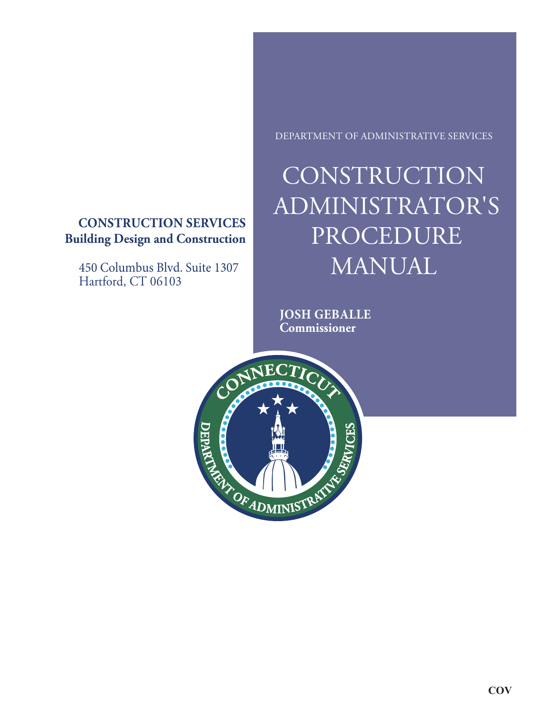### **CONSTRUCTION SERVICES Building Design and Construction**

450 Columbus Blvd. Suite 1307 Hartford, CT 06103

#### DEPARTMENT OF ADMINISTRATIVE SERVICES

# **CONSTRUCTION** ADMINISTRATOR'S PROCEDURE MANUAL

**JOSH GEBALLE Commissioner**

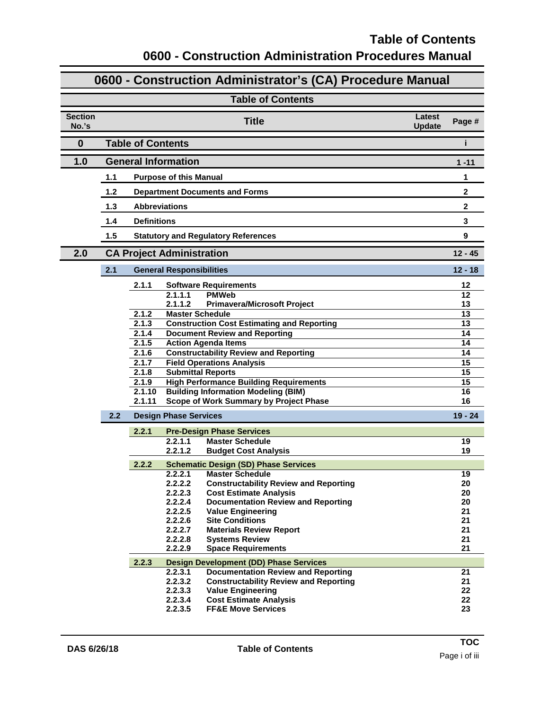### **Table of Contents 0600 - Construction Administration Procedures Manual**

### **0600 - Construction Administrator's (CA) Procedure Manual**

|                         |       | <b>Table of Contents</b>                                                                                        |  |                       |  |  |  |
|-------------------------|-------|-----------------------------------------------------------------------------------------------------------------|--|-----------------------|--|--|--|
| <b>Section</b><br>No.'s |       | Latest<br><b>Title</b><br>Page #<br><b>Update</b>                                                               |  |                       |  |  |  |
| $\bf{0}$                |       | <b>Table of Contents</b><br>i                                                                                   |  |                       |  |  |  |
| 1.0                     |       | <b>General Information</b><br>$1 - 11$                                                                          |  |                       |  |  |  |
|                         | 1.1   | <b>Purpose of this Manual</b>                                                                                   |  | 1                     |  |  |  |
|                         | 1.2   | <b>Department Documents and Forms</b>                                                                           |  | $\mathbf{2}$          |  |  |  |
|                         | $1.3$ | <b>Abbreviations</b>                                                                                            |  | $\mathbf{2}$          |  |  |  |
|                         | 1.4   | <b>Definitions</b>                                                                                              |  | 3                     |  |  |  |
|                         | 1.5   | 9<br><b>Statutory and Regulatory References</b>                                                                 |  |                       |  |  |  |
| 2.0                     |       | <b>CA Project Administration</b>                                                                                |  | $12 - 45$             |  |  |  |
|                         | 2.1   | <b>General Responsibilities</b>                                                                                 |  | $12 - 18$             |  |  |  |
|                         |       | 2.1.1<br><b>Software Requirements</b>                                                                           |  | 12                    |  |  |  |
|                         |       | <b>PMWeb</b><br>2.1.1.1<br>2.1.1.2<br><b>Primavera/Microsoft Project</b>                                        |  | 12<br>13              |  |  |  |
|                         |       | <b>Master Schedule</b><br>2.1.2                                                                                 |  | $\overline{13}$       |  |  |  |
|                         |       | 2.1.3<br><b>Construction Cost Estimating and Reporting</b>                                                      |  | $\overline{13}$       |  |  |  |
|                         |       | 2.1.4<br><b>Document Review and Reporting</b>                                                                   |  | 14                    |  |  |  |
|                         |       | 2.1.5<br><b>Action Agenda Items</b>                                                                             |  | 14                    |  |  |  |
|                         |       | <b>Constructability Review and Reporting</b><br>2.1.6<br>2.1.7<br><b>Field Operations Analysis</b>              |  | 14<br>$\overline{15}$ |  |  |  |
|                         |       | 2.1.8<br><b>Submittal Reports</b>                                                                               |  | $\overline{15}$       |  |  |  |
|                         |       | 2.1.9<br><b>High Performance Building Requirements</b>                                                          |  | $\overline{15}$       |  |  |  |
|                         |       | 2.1.10<br><b>Building Information Modeling (BIM)</b>                                                            |  | 16                    |  |  |  |
|                         |       | 2.1.11<br>Scope of Work Summary by Project Phase                                                                |  | 16                    |  |  |  |
|                         | 2.2   | <b>Design Phase Services</b>                                                                                    |  | $19 - 24$             |  |  |  |
|                         |       | 2.2.1<br><b>Pre-Design Phase Services</b>                                                                       |  |                       |  |  |  |
|                         |       | 2.2.1.1<br><b>Master Schedule</b>                                                                               |  | 19                    |  |  |  |
|                         |       | 2.2.1.2<br><b>Budget Cost Analysis</b>                                                                          |  | 19                    |  |  |  |
|                         |       | 2.2.2<br><b>Schematic Design (SD) Phase Services</b>                                                            |  |                       |  |  |  |
|                         |       | 2.2.2.1<br><b>Master Schedule</b>                                                                               |  | 19                    |  |  |  |
|                         |       | 2.2.2.2<br><b>Constructability Review and Reporting</b>                                                         |  | 20                    |  |  |  |
|                         |       | 2.2.2.3<br><b>Cost Estimate Analysis</b><br>2.2.2.4<br><b>Documentation Review and Reporting</b>                |  | 20<br>20              |  |  |  |
|                         |       | 2.2.2.5<br><b>Value Engineering</b>                                                                             |  | 21                    |  |  |  |
|                         |       | 2.2.2.6<br><b>Site Conditions</b>                                                                               |  | 21                    |  |  |  |
|                         |       | <b>Materials Review Report</b><br>2.2.2.7                                                                       |  | 21                    |  |  |  |
|                         |       | 2.2.2.8<br><b>Systems Review</b>                                                                                |  | 21                    |  |  |  |
|                         |       | 2.2.2.9<br><b>Space Requirements</b>                                                                            |  | 21                    |  |  |  |
|                         |       | 2.2.3<br><b>Design Development (DD) Phase Services</b>                                                          |  |                       |  |  |  |
|                         |       | <b>Documentation Review and Reporting</b><br>2.2.3.1<br>2.2.3.2<br><b>Constructability Review and Reporting</b> |  | 21                    |  |  |  |
|                         |       | 2.2.3.3<br><b>Value Engineering</b>                                                                             |  | 21<br>22              |  |  |  |
|                         |       | <b>Cost Estimate Analysis</b><br>2.2.3.4                                                                        |  | 22                    |  |  |  |
|                         |       | 2.2.3.5<br><b>FF&amp;E Move Services</b>                                                                        |  | 23                    |  |  |  |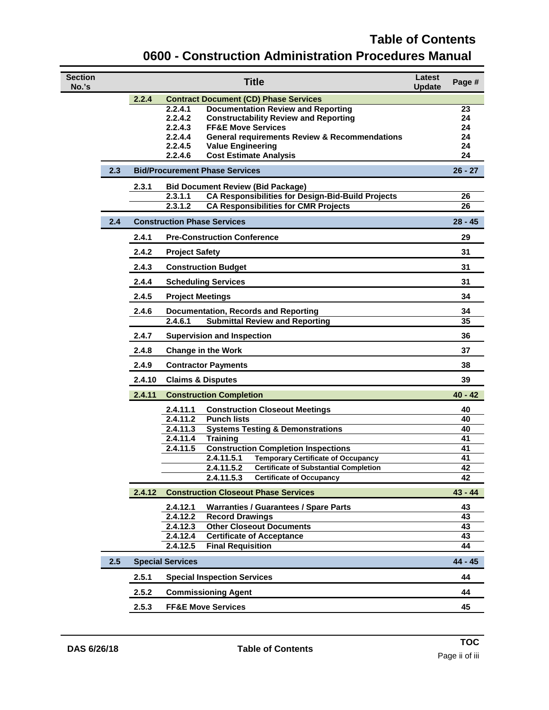### **Table of Contents 0600 - Construction Administration Procedures Manual**

| <b>Section</b><br>No.'s |     |        | <b>Title</b>                                                                                                      | Latest<br><b>Update</b> | Page #    |
|-------------------------|-----|--------|-------------------------------------------------------------------------------------------------------------------|-------------------------|-----------|
|                         |     | 2.2.4  | <b>Contract Document (CD) Phase Services</b>                                                                      |                         |           |
|                         |     |        | 2.2.4.1<br><b>Documentation Review and Reporting</b>                                                              |                         | 23        |
|                         |     |        | 2.2.4.2<br><b>Constructability Review and Reporting</b><br>2.2.4.3                                                |                         | 24        |
|                         |     |        | <b>FF&amp;E Move Services</b><br>2.2.4.4<br><b>General requirements Review &amp; Recommendations</b>              |                         | 24<br>24  |
|                         |     |        | 2.2.4.5<br><b>Value Engineering</b>                                                                               |                         | 24        |
|                         |     |        | 2.2.4.6<br><b>Cost Estimate Analysis</b>                                                                          |                         | 24        |
|                         | 2.3 |        | <b>Bid/Procurement Phase Services</b>                                                                             |                         | $26 - 27$ |
|                         |     | 2.3.1  | <b>Bid Document Review (Bid Package)</b>                                                                          |                         |           |
|                         |     |        | <b>CA Responsibilities for Design-Bid-Build Projects</b><br>2.3.1.1                                               |                         | 26        |
|                         |     |        | 2.3.1.2<br><b>CA Responsibilities for CMR Projects</b>                                                            |                         | 26        |
|                         | 2.4 |        | <b>Construction Phase Services</b>                                                                                |                         | $28 - 45$ |
|                         |     | 2.4.1  | <b>Pre-Construction Conference</b>                                                                                |                         | 29        |
|                         |     | 2.4.2  | <b>Project Safety</b>                                                                                             |                         | 31        |
|                         |     | 2.4.3  | <b>Construction Budget</b>                                                                                        |                         | 31        |
|                         |     | 2.4.4  | <b>Scheduling Services</b>                                                                                        |                         | 31        |
|                         |     | 2.4.5  | <b>Project Meetings</b>                                                                                           |                         | 34        |
|                         |     | 2.4.6  | <b>Documentation, Records and Reporting</b>                                                                       |                         | 34        |
|                         |     |        | <b>Submittal Review and Reporting</b><br>2.4.6.1                                                                  |                         | 35        |
|                         |     | 2.4.7  | <b>Supervision and Inspection</b>                                                                                 |                         | 36        |
|                         |     | 2.4.8  | <b>Change in the Work</b>                                                                                         |                         | 37        |
|                         |     | 2.4.9  | <b>Contractor Payments</b>                                                                                        |                         | 38        |
|                         |     | 2.4.10 | <b>Claims &amp; Disputes</b>                                                                                      |                         | 39        |
|                         |     | 2.4.11 | <b>Construction Completion</b>                                                                                    |                         | $40 - 42$ |
|                         |     |        | <b>Construction Closeout Meetings</b><br>2.4.11.1                                                                 |                         | 40        |
|                         |     |        | 2.4.11.2<br><b>Punch lists</b>                                                                                    |                         | 40        |
|                         |     |        | 2.4.11.3<br><b>Systems Testing &amp; Demonstrations</b>                                                           |                         | 40        |
|                         |     |        | 2.4.11.4<br><b>Training</b>                                                                                       |                         | 41<br>41  |
|                         |     |        | 2.4.11.5<br><b>Construction Completion Inspections</b><br>2.4.11.5.1<br><b>Temporary Certificate of Occupancy</b> |                         | 41        |
|                         |     |        | 2.4.11.5.2<br><b>Certificate of Substantial Completion</b>                                                        |                         | 42        |
|                         |     |        | 2.4.11.5.3<br><b>Certificate of Occupancy</b>                                                                     |                         | 42        |
|                         |     | 2.4.12 | <b>Construction Closeout Phase Services</b>                                                                       |                         | $43 - 44$ |
|                         |     |        | 2.4.12.1<br><b>Warranties / Guarantees / Spare Parts</b>                                                          |                         | 43        |
|                         |     |        | 2.4.12.2<br><b>Record Drawings</b>                                                                                |                         | 43        |
|                         |     |        | 2.4.12.3<br><b>Other Closeout Documents</b>                                                                       |                         | 43        |
|                         |     |        | 2.4.12.4<br><b>Certificate of Acceptance</b>                                                                      |                         | 43        |
|                         |     |        | 2.4.12.5<br><b>Final Requisition</b>                                                                              |                         | 44        |
|                         | 2.5 |        | <b>Special Services</b>                                                                                           |                         | $44 - 45$ |
|                         |     | 2.5.1  | <b>Special Inspection Services</b>                                                                                |                         | 44        |
|                         |     | 2.5.2  | <b>Commissioning Agent</b>                                                                                        |                         | 44        |
|                         |     | 2.5.3  | <b>FF&amp;E Move Services</b>                                                                                     |                         | 45        |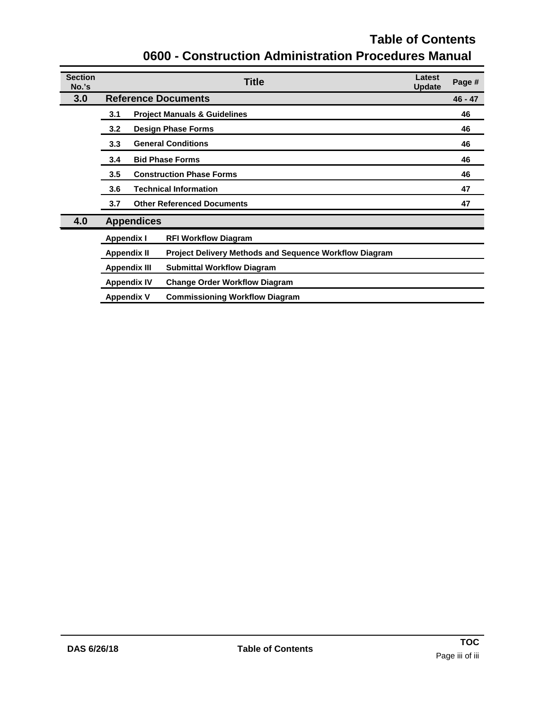# **Table of Contents 0600 - Construction Administration Procedures Manual**

| <b>Section</b><br>No.'s | Latest<br><b>Title</b><br><b>Update</b> |                                   |                                                               |  |    |
|-------------------------|-----------------------------------------|-----------------------------------|---------------------------------------------------------------|--|----|
| 3.0                     |                                         | <b>Reference Documents</b>        |                                                               |  |    |
|                         | 3.1                                     |                                   | <b>Project Manuals &amp; Guidelines</b>                       |  | 46 |
|                         | 3.2                                     | <b>Design Phase Forms</b>         |                                                               |  | 46 |
|                         | 3.3                                     | <b>General Conditions</b>         |                                                               |  |    |
|                         | <b>Bid Phase Forms</b><br>3.4           |                                   |                                                               |  | 46 |
|                         | 3.5<br><b>Construction Phase Forms</b>  |                                   |                                                               |  | 46 |
|                         | 3.6                                     | <b>Technical Information</b>      |                                                               |  |    |
|                         | 3.7                                     | <b>Other Referenced Documents</b> |                                                               |  |    |
| 4.0                     |                                         | <b>Appendices</b>                 |                                                               |  |    |
|                         | <b>Appendix I</b>                       |                                   | <b>RFI Workflow Diagram</b>                                   |  |    |
|                         | <b>Appendix II</b>                      |                                   | <b>Project Delivery Methods and Sequence Workflow Diagram</b> |  |    |
|                         | <b>Appendix III</b>                     |                                   | <b>Submittal Workflow Diagram</b>                             |  |    |
|                         | <b>Appendix IV</b>                      |                                   | <b>Change Order Workflow Diagram</b>                          |  |    |
|                         | <b>Appendix V</b>                       |                                   | <b>Commissioning Workflow Diagram</b>                         |  |    |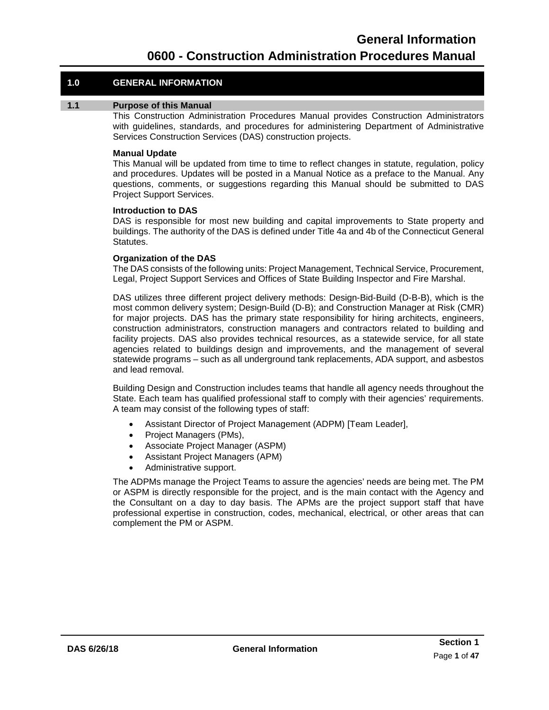#### **1.0 GENERAL INFORMATION**

#### **1.1 Purpose of this Manual**

<span id="page-4-0"></span>This Construction Administration Procedures Manual provides Construction Administrators with guidelines, standards, and procedures for administering Department of Administrative Services Construction Services (DAS) construction projects.

#### **Manual Update**

This Manual will be updated from time to time to reflect changes in statute, regulation, policy and procedures. Updates will be posted in a Manual Notice as a preface to the Manual. Any questions, comments, or suggestions regarding this Manual should be submitted to DAS Project Support Services.

#### **Introduction to DAS**

DAS is responsible for most new building and capital improvements to State property and buildings. The authority of the DAS is defined under Title 4a and 4b of the Connecticut General Statutes.

#### **Organization of the DAS**

The DAS consists of the following units: Project Management, Technical Service, Procurement, Legal, Project Support Services and Offices of State Building Inspector and Fire Marshal.

DAS utilizes three different project delivery methods: Design-Bid-Build (D-B-B), which is the most common delivery system; Design-Build (D-B); and Construction Manager at Risk (CMR) for major projects. DAS has the primary state responsibility for hiring architects, engineers, construction administrators, construction managers and contractors related to building and facility projects. DAS also provides technical resources, as a statewide service, for all state agencies related to buildings design and improvements, and the management of several statewide programs – such as all underground tank replacements, ADA support, and asbestos and lead removal.

Building Design and Construction includes teams that handle all agency needs throughout the State. Each team has qualified professional staff to comply with their agencies' requirements. A team may consist of the following types of staff:

- Assistant Director of Project Management (ADPM) [Team Leader],
- Project Managers (PMs),
- Associate Project Manager (ASPM)
- Assistant Project Managers (APM)
- Administrative support.

The ADPMs manage the Project Teams to assure the agencies' needs are being met. The PM or ASPM is directly responsible for the project, and is the main contact with the Agency and the Consultant on a day to day basis. The APMs are the project support staff that have professional expertise in construction, codes, mechanical, electrical, or other areas that can complement the PM or ASPM.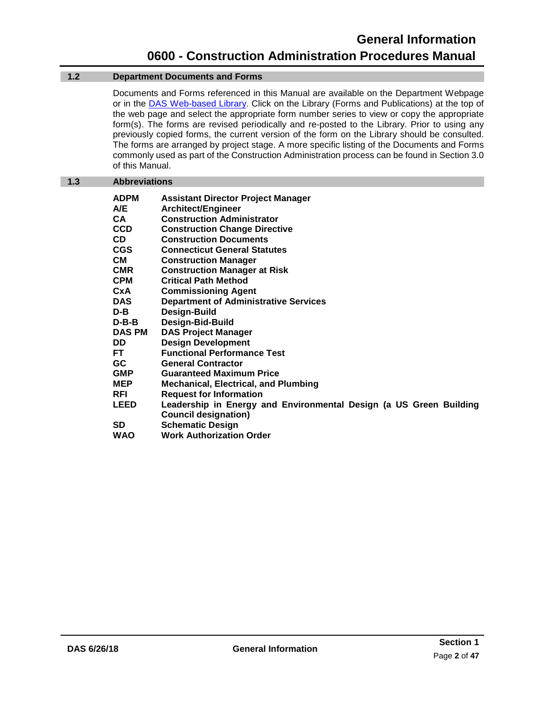#### **1.2 Department Documents and Forms**

<span id="page-5-0"></span>Documents and Forms referenced in this Manual are available on the Department Webpage or in the DAS [Web-based Library.](https://portal.ct.gov/DAS/Lists/DAS-Construction-Services-Library) Click on the Library (Forms and Publications) at the top of the web page and select the appropriate form number series to view or copy the appropriate form(s). The forms are revised periodically and re-posted to the Library. Prior to using any previously copied forms, the current version of the form on the Library should be consulted. The forms are arranged by project stage. A more specific listing of the Documents and Forms commonly used as part of the Construction Administration process can be found in [Section 3.0](#page-49-0)  [of this Manual.](#page-49-0)

#### <span id="page-5-1"></span>**1.3 Abbreviations**

| <b>Assistant Director Project Manager</b>                          |
|--------------------------------------------------------------------|
| <b>Architect/Engineer</b>                                          |
| <b>Construction Administrator</b>                                  |
| <b>Construction Change Directive</b>                               |
| <b>Construction Documents</b>                                      |
| <b>Connecticut General Statutes</b>                                |
| <b>Construction Manager</b>                                        |
| <b>Construction Manager at Risk</b>                                |
| <b>Critical Path Method</b>                                        |
| <b>Commissioning Agent</b>                                         |
| <b>Department of Administrative Services</b>                       |
| Design-Build                                                       |
| <b>Design-Bid-Build</b>                                            |
| <b>DAS Project Manager</b>                                         |
| <b>Design Development</b>                                          |
| <b>Functional Performance Test</b>                                 |
| <b>General Contractor</b>                                          |
| <b>Guaranteed Maximum Price</b>                                    |
| <b>Mechanical, Electrical, and Plumbing</b>                        |
| <b>Request for Information</b>                                     |
| Leadership in Energy and Environmental Design (a US Green Building |
| <b>Council designation)</b>                                        |
| <b>Schematic Design</b>                                            |
| <b>Work Authorization Order</b>                                    |
|                                                                    |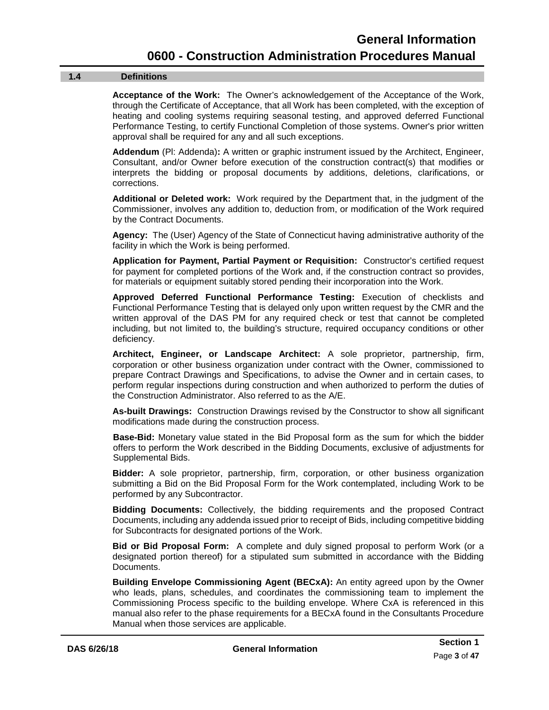#### **1.4 Definitions**

<span id="page-6-0"></span>**Acceptance of the Work:** The Owner's acknowledgement of the Acceptance of the Work, through the Certificate of Acceptance, that all Work has been completed, with the exception of heating and cooling systems requiring seasonal testing, and approved deferred Functional Performance Testing, to certify Functional Completion of those systems. Owner's prior written approval shall be required for any and all such exceptions.

**Addendum** (Pl: Addenda)**:** A written or graphic instrument issued by the Architect, Engineer, Consultant, and/or Owner before execution of the construction contract(s) that modifies or interprets the bidding or proposal documents by additions, deletions, clarifications, or corrections.

**Additional or Deleted work:** Work required by the Department that, in the judgment of the Commissioner, involves any addition to, deduction from, or modification of the Work required by the Contract Documents.

**Agency:** The (User) Agency of the State of Connecticut having administrative authority of the facility in which the Work is being performed.

**Application for Payment, Partial Payment or Requisition:** Constructor's certified request for payment for completed portions of the Work and, if the construction contract so provides, for materials or equipment suitably stored pending their incorporation into the Work.

**Approved Deferred Functional Performance Testing:** Execution of checklists and Functional Performance Testing that is delayed only upon written request by the CMR and the written approval of the DAS PM for any required check or test that cannot be completed including, but not limited to, the building's structure, required occupancy conditions or other deficiency.

**Architect, Engineer, or Landscape Architect:** A sole proprietor, partnership, firm, corporation or other business organization under contract with the Owner, commissioned to prepare Contract Drawings and Specifications, to advise the Owner and in certain cases, to perform regular inspections during construction and when authorized to perform the duties of the Construction Administrator. Also referred to as the A/E.

**As-built Drawings:** Construction Drawings revised by the Constructor to show all significant modifications made during the construction process.

**Base-Bid:** Monetary value stated in the Bid Proposal form as the sum for which the bidder offers to perform the Work described in the Bidding Documents, exclusive of adjustments for Supplemental Bids.

**Bidder:** A sole proprietor, partnership, firm, corporation, or other business organization submitting a Bid on the Bid Proposal Form for the Work contemplated, including Work to be performed by any Subcontractor.

**Bidding Documents:** Collectively, the bidding requirements and the proposed Contract Documents, including any addenda issued prior to receipt of Bids, including competitive bidding for Subcontracts for designated portions of the Work.

**Bid or Bid Proposal Form:** A complete and duly signed proposal to perform Work (or a designated portion thereof) for a stipulated sum submitted in accordance with the Bidding Documents.

**Building Envelope Commissioning Agent (BECxA):** An entity agreed upon by the Owner who leads, plans, schedules, and coordinates the commissioning team to implement the Commissioning Process specific to the building envelope. Where CxA is referenced in this manual also refer to the phase requirements for a BECxA found in the Consultants Procedure Manual when those services are applicable.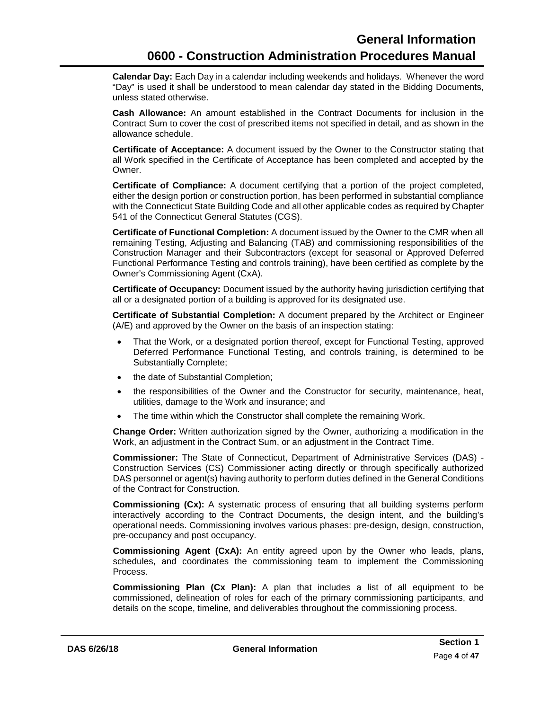**Calendar Day:** Each Day in a calendar including weekends and holidays. Whenever the word "Day" is used it shall be understood to mean calendar day stated in the Bidding Documents, unless stated otherwise.

**Cash Allowance:** An amount established in the Contract Documents for inclusion in the Contract Sum to cover the cost of prescribed items not specified in detail, and as shown in the allowance schedule.

**Certificate of Acceptance:** A document issued by the Owner to the Constructor stating that all Work specified in the Certificate of Acceptance has been completed and accepted by the Owner.

**Certificate of Compliance:** A document certifying that a portion of the project completed, either the design portion or construction portion, has been performed in substantial compliance with the Connecticut State Building Code and all other applicable codes as required by Chapter 541 of the Connecticut General Statutes (CGS).

**Certificate of Functional Completion:** A document issued by the Owner to the CMR when all remaining Testing, Adjusting and Balancing (TAB) and commissioning responsibilities of the Construction Manager and their Subcontractors (except for seasonal or Approved Deferred Functional Performance Testing and controls training), have been certified as complete by the Owner's Commissioning Agent (CxA).

**Certificate of Occupancy:** Document issued by the authority having jurisdiction certifying that all or a designated portion of a building is approved for its designated use.

**Certificate of Substantial Completion:** A document prepared by the Architect or Engineer (A/E) and approved by the Owner on the basis of an inspection stating:

- That the Work, or a designated portion thereof, except for Functional Testing, approved Deferred Performance Functional Testing, and controls training, is determined to be Substantially Complete;
- the date of Substantial Completion;
- the responsibilities of the Owner and the Constructor for security, maintenance, heat, utilities, damage to the Work and insurance; and
- The time within which the Constructor shall complete the remaining Work.

**Change Order:** Written authorization signed by the Owner, authorizing a modification in the Work, an adjustment in the Contract Sum, or an adjustment in the Contract Time.

**Commissioner:** The State of Connecticut, Department of Administrative Services (DAS) - Construction Services (CS) Commissioner acting directly or through specifically authorized DAS personnel or agent(s) having authority to perform duties defined in the General Conditions of the Contract for Construction.

**Commissioning (Cx):** A systematic process of ensuring that all building systems perform interactively according to the Contract Documents, the design intent, and the building's operational needs. Commissioning involves various phases: pre-design, design, construction, pre-occupancy and post occupancy.

**Commissioning Agent (CxA):** An entity agreed upon by the Owner who leads, plans, schedules, and coordinates the commissioning team to implement the Commissioning Process.

**Commissioning Plan (Cx Plan):** A plan that includes a list of all equipment to be commissioned, delineation of roles for each of the primary commissioning participants, and details on the scope, timeline, and deliverables throughout the commissioning process.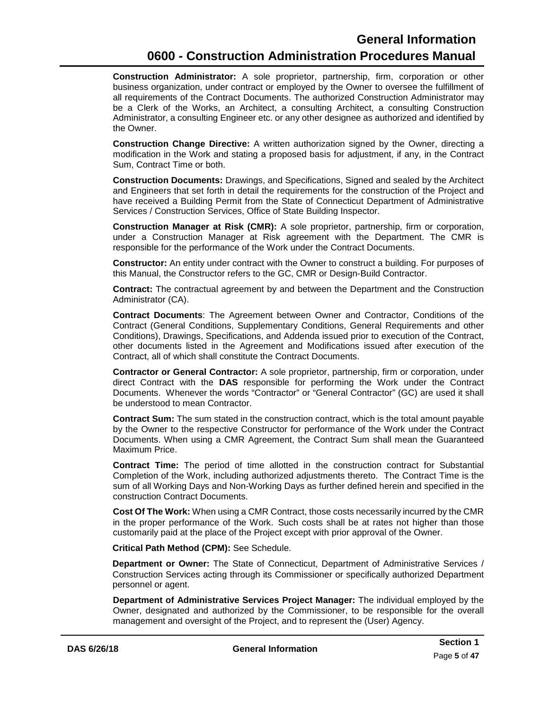**Construction Administrator:** A sole proprietor, partnership, firm, corporation or other business organization, under contract or employed by the Owner to oversee the fulfillment of all requirements of the Contract Documents. The authorized Construction Administrator may be a Clerk of the Works, an Architect, a consulting Architect, a consulting Construction Administrator, a consulting Engineer etc. or any other designee as authorized and identified by the Owner.

**Construction Change Directive:** A written authorization signed by the Owner, directing a modification in the Work and stating a proposed basis for adjustment, if any, in the Contract Sum, Contract Time or both.

**Construction Documents:** Drawings, and Specifications, Signed and sealed by the Architect and Engineers that set forth in detail the requirements for the construction of the Project and have received a Building Permit from the State of Connecticut Department of Administrative Services / Construction Services, Office of State Building Inspector.

**Construction Manager at Risk (CMR):** A sole proprietor, partnership, firm or corporation, under a Construction Manager at Risk agreement with the Department. The CMR is responsible for the performance of the Work under the Contract Documents.

**Constructor:** An entity under contract with the Owner to construct a building. For purposes of this Manual, the Constructor refers to the GC, CMR or Design-Build Contractor.

**Contract:** The contractual agreement by and between the Department and the Construction Administrator (CA).

**Contract Documents**: The Agreement between Owner and Contractor, Conditions of the Contract (General Conditions, Supplementary Conditions, General Requirements and other Conditions), Drawings, Specifications, and Addenda issued prior to execution of the Contract, other documents listed in the Agreement and Modifications issued after execution of the Contract, all of which shall constitute the Contract Documents.

**Contractor or General Contractor:** A sole proprietor, partnership, firm or corporation, under direct Contract with the **DAS** responsible for performing the Work under the Contract Documents. Whenever the words "Contractor" or "General Contractor" (GC) are used it shall be understood to mean Contractor.

**Contract Sum:** The sum stated in the construction contract, which is the total amount payable by the Owner to the respective Constructor for performance of the Work under the Contract Documents. When using a CMR Agreement, the Contract Sum shall mean the Guaranteed Maximum Price.

**Contract Time:** The period of time allotted in the construction contract for Substantial Completion of the Work, including authorized adjustments thereto. The Contract Time is the sum of all Working Days and Non-Working Days as further defined herein and specified in the construction Contract Documents.

**Cost Of The Work:** When using a CMR Contract, those costs necessarily incurred by the CMR in the proper performance of the Work. Such costs shall be at rates not higher than those customarily paid at the place of the Project except with prior approval of the Owner.

**Critical Path Method (CPM):** See Schedule.

**Department or Owner:** The State of Connecticut, Department of Administrative Services / Construction Services acting through its Commissioner or specifically authorized Department personnel or agent.

**Department of Administrative Services Project Manager:** The individual employed by the Owner, designated and authorized by the Commissioner, to be responsible for the overall management and oversight of the Project, and to represent the (User) Agency.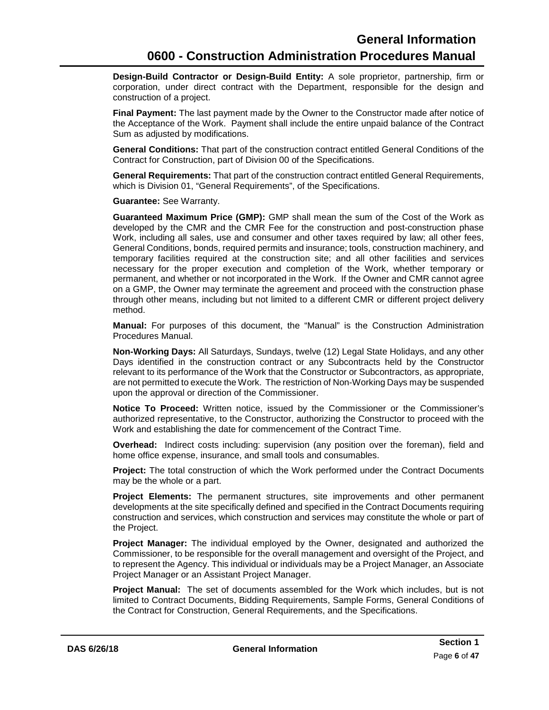**Design-Build Contractor or Design-Build Entity:** A sole proprietor, partnership, firm or corporation, under direct contract with the Department, responsible for the design and construction of a project.

**Final Payment:** The last payment made by the Owner to the Constructor made after notice of the Acceptance of the Work. Payment shall include the entire unpaid balance of the Contract Sum as adjusted by modifications.

**General Conditions:** That part of the construction contract entitled General Conditions of the Contract for Construction, part of Division 00 of the Specifications.

**General Requirements:** That part of the construction contract entitled General Requirements, which is Division 01, "General Requirements", of the Specifications.

**Guarantee:** See Warranty.

**Guaranteed Maximum Price (GMP):** GMP shall mean the sum of the Cost of the Work as developed by the CMR and the CMR Fee for the construction and post-construction phase Work, including all sales, use and consumer and other taxes required by law; all other fees, General Conditions, bonds, required permits and insurance; tools, construction machinery, and temporary facilities required at the construction site; and all other facilities and services necessary for the proper execution and completion of the Work, whether temporary or permanent, and whether or not incorporated in the Work. If the Owner and CMR cannot agree on a GMP, the Owner may terminate the agreement and proceed with the construction phase through other means, including but not limited to a different CMR or different project delivery method.

**Manual:** For purposes of this document, the "Manual" is the Construction Administration Procedures Manual.

**Non-Working Days:** All Saturdays, Sundays, twelve (12) Legal State Holidays, and any other Days identified in the construction contract or any Subcontracts held by the Constructor relevant to its performance of the Work that the Constructor or Subcontractors, as appropriate, are not permitted to execute the Work. The restriction of Non-Working Days may be suspended upon the approval or direction of the Commissioner.

**Notice To Proceed:** Written notice, issued by the Commissioner or the Commissioner's authorized representative, to the Constructor, authorizing the Constructor to proceed with the Work and establishing the date for commencement of the Contract Time.

**Overhead:** Indirect costs including: supervision (any position over the foreman), field and home office expense, insurance, and small tools and consumables.

**Project:** The total construction of which the Work performed under the Contract Documents may be the whole or a part.

**Project Elements:** The permanent structures, site improvements and other permanent developments at the site specifically defined and specified in the Contract Documents requiring construction and services, which construction and services may constitute the whole or part of the Project.

**Project Manager:** The individual employed by the Owner, designated and authorized the Commissioner, to be responsible for the overall management and oversight of the Project, and to represent the Agency. This individual or individuals may be a Project Manager, an Associate Project Manager or an Assistant Project Manager.

**Project Manual:** The set of documents assembled for the Work which includes, but is not limited to Contract Documents, Bidding Requirements, Sample Forms, General Conditions of the Contract for Construction, General Requirements, and the Specifications.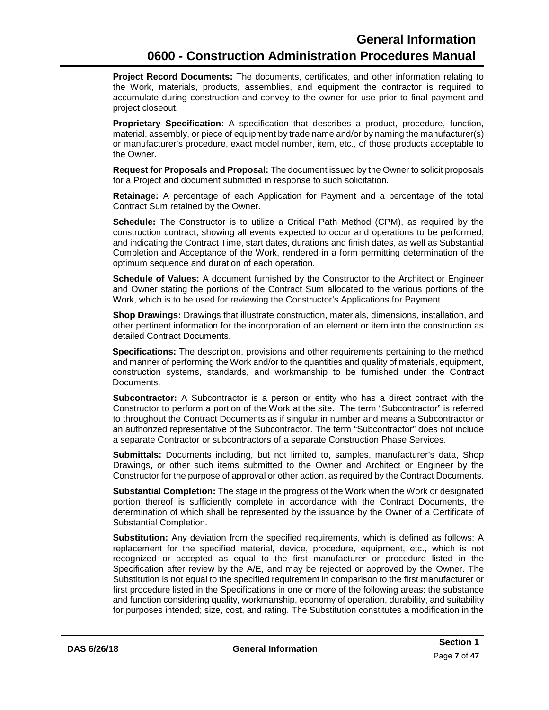**Project Record Documents:** The documents, certificates, and other information relating to the Work, materials, products, assemblies, and equipment the contractor is required to accumulate during construction and convey to the owner for use prior to final payment and project closeout.

**Proprietary Specification:** A specification that describes a product, procedure, function, material, assembly, or piece of equipment by trade name and/or by naming the manufacturer(s) or manufacturer's procedure, exact model number, item, etc., of those products acceptable to the Owner.

**Request for Proposals and Proposal:** The document issued by the Owner to solicit proposals for a Project and document submitted in response to such solicitation.

**Retainage:** A percentage of each Application for Payment and a percentage of the total Contract Sum retained by the Owner.

**Schedule:** The Constructor is to utilize a Critical Path Method (CPM), as required by the construction contract, showing all events expected to occur and operations to be performed, and indicating the Contract Time, start dates, durations and finish dates, as well as Substantial Completion and Acceptance of the Work, rendered in a form permitting determination of the optimum sequence and duration of each operation.

**Schedule of Values:** A document furnished by the Constructor to the Architect or Engineer and Owner stating the portions of the Contract Sum allocated to the various portions of the Work, which is to be used for reviewing the Constructor's Applications for Payment.

**Shop Drawings:** Drawings that illustrate construction, materials, dimensions, installation, and other pertinent information for the incorporation of an element or item into the construction as detailed Contract Documents.

**Specifications:** The description, provisions and other requirements pertaining to the method and manner of performing the Work and/or to the quantities and quality of materials, equipment, construction systems, standards, and workmanship to be furnished under the Contract Documents.

**Subcontractor:** A Subcontractor is a person or entity who has a direct contract with the Constructor to perform a portion of the Work at the site. The term "Subcontractor" is referred to throughout the Contract Documents as if singular in number and means a Subcontractor or an authorized representative of the Subcontractor. The term "Subcontractor" does not include a separate Contractor or subcontractors of a separate Construction Phase Services.

**Submittals:** Documents including, but not limited to, samples, manufacturer's data, Shop Drawings, or other such items submitted to the Owner and Architect or Engineer by the Constructor for the purpose of approval or other action, as required by the Contract Documents.

**Substantial Completion:** The stage in the progress of the Work when the Work or designated portion thereof is sufficiently complete in accordance with the Contract Documents, the determination of which shall be represented by the issuance by the Owner of a Certificate of Substantial Completion.

**Substitution:** Any deviation from the specified requirements, which is defined as follows: A replacement for the specified material, device, procedure, equipment, etc., which is not recognized or accepted as equal to the first manufacturer or procedure listed in the Specification after review by the A/E, and may be rejected or approved by the Owner. The Substitution is not equal to the specified requirement in comparison to the first manufacturer or first procedure listed in the Specifications in one or more of the following areas: the substance and function considering quality, workmanship, economy of operation, durability, and suitability for purposes intended; size, cost, and rating. The Substitution constitutes a modification in the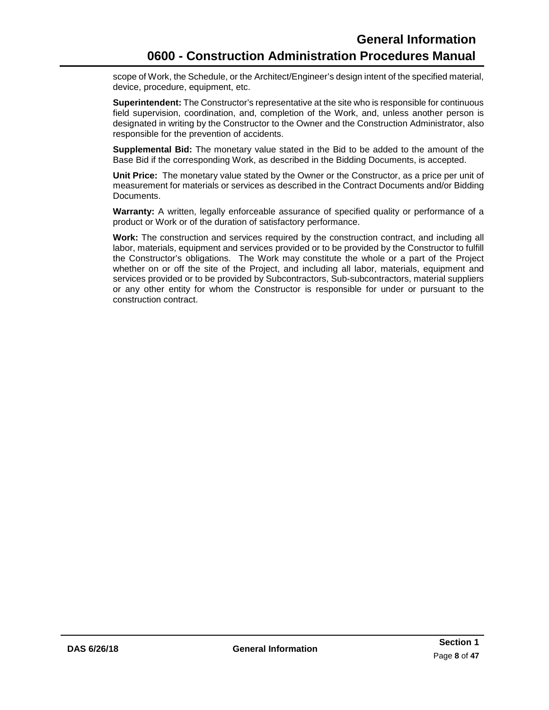scope of Work, the Schedule, or the Architect/Engineer's design intent of the specified material, device, procedure, equipment, etc.

**Superintendent:** The Constructor's representative at the site who is responsible for continuous field supervision, coordination, and, completion of the Work, and, unless another person is designated in writing by the Constructor to the Owner and the Construction Administrator, also responsible for the prevention of accidents.

**Supplemental Bid:** The monetary value stated in the Bid to be added to the amount of the Base Bid if the corresponding Work, as described in the Bidding Documents, is accepted.

**Unit Price:** The monetary value stated by the Owner or the Constructor, as a price per unit of measurement for materials or services as described in the Contract Documents and/or Bidding Documents.

**Warranty:** A written, legally enforceable assurance of specified quality or performance of a product or Work or of the duration of satisfactory performance.

**Work:** The construction and services required by the construction contract, and including all labor, materials, equipment and services provided or to be provided by the Constructor to fulfill the Constructor's obligations. The Work may constitute the whole or a part of the Project whether on or off the site of the Project, and including all labor, materials, equipment and services provided or to be provided by Subcontractors, Sub-subcontractors, material suppliers or any other entity for whom the Constructor is responsible for under or pursuant to the construction contract.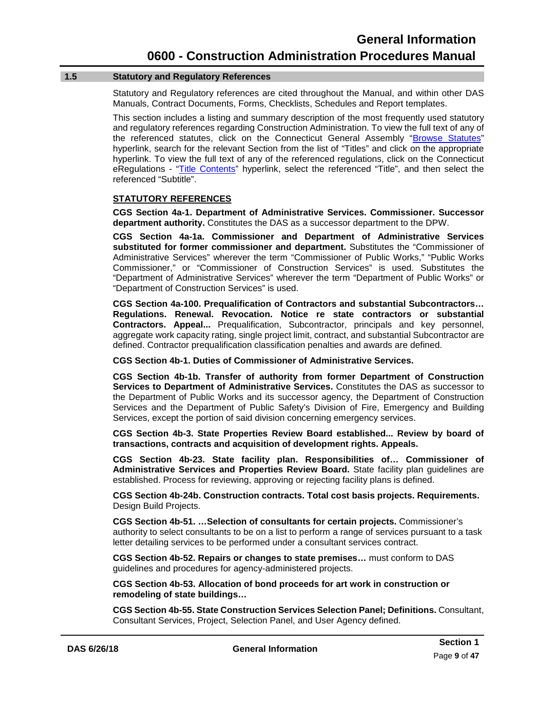#### **1.5 Statutory and Regulatory References**

<span id="page-12-0"></span>Statutory and Regulatory references are cited throughout the Manual, and within other DAS Manuals, Contract Documents, Forms, Checklists, Schedules and Report templates.

This section includes a listing and summary description of the most frequently used statutory and regulatory references regarding Construction Administration. To view the full text of any of the referenced statutes, click on the Connecticut General Assembly ["Browse Statutes"](https://www.cga.ct.gov/current/pub/titles.htm) hyperlink, search for the relevant Section from the list of "Titles" and click on the appropriate hyperlink. To view the full text of any of the referenced regulations, click on the Connecticut eRegulations - ["Title Contents"](https://eregulations.ct.gov/eRegsPortal/Browse/RCSA/%7B08178BB8-4BA8-4141-9B33-36705377715A%7D) hyperlink, select the referenced "Title", and then select the referenced "Subtitle".

#### **STATUTORY REFERENCES**

**CGS Section 4a-1. Department of Administrative Services. Commissioner. Successor department authority.** Constitutes the DAS as a successor department to the DPW.

**CGS Section 4a-1a. Commissioner and Department of Administrative Services substituted for former commissioner and department.** Substitutes the "Commissioner of Administrative Services" wherever the term "Commissioner of Public Works," "Public Works Commissioner," or "Commissioner of Construction Services" is used. Substitutes the "Department of Administrative Services" wherever the term "Department of Public Works" or "Department of Construction Services" is used.

**CGS Section 4a-100. Prequalification of Contractors and substantial Subcontractors… Regulations. Renewal. Revocation. Notice re state contractors or substantial Contractors. Appeal...** Prequalification, Subcontractor, principals and key personnel, aggregate work capacity rating, single project limit, contract, and substantial Subcontractor are defined. Contractor prequalification classification penalties and awards are defined.

#### **CGS Section 4b-1. Duties of Commissioner of Administrative Services.**

**CGS Section 4b-1b. Transfer of authority from former Department of Construction Services to Department of Administrative Services.** Constitutes the DAS as successor to the Department of Public Works and its successor agency, the Department of Construction Services and the Department of Public Safety's Division of Fire, Emergency and Building Services, except the portion of said division concerning emergency services.

**CGS Section 4b-3. State Properties Review Board established... Review by board of transactions, contracts and acquisition of development rights. Appeals.**

**CGS Section 4b-23. State facility plan. Responsibilities of… Commissioner of Administrative Services and Properties Review Board.** State facility plan guidelines are established. Process for reviewing, approving or rejecting facility plans is defined.

**CGS Section 4b-24b. Construction contracts. Total cost basis projects. Requirements.** Design Build Projects.

**CGS Section 4b-51. …Selection of consultants for certain projects.** Commissioner's authority to select consultants to be on a list to perform a range of services pursuant to a task letter detailing services to be performed under a consultant services contract.

**CGS Section 4b-52. Repairs or changes to state premises…** must conform to DAS guidelines and procedures for agency-administered projects.

**CGS Section 4b-53. Allocation of bond proceeds for art work in construction or remodeling of state buildings…**

**CGS Section 4b-55. State Construction Services Selection Panel; Definitions.** Consultant, Consultant Services, Project, Selection Panel, and User Agency defined.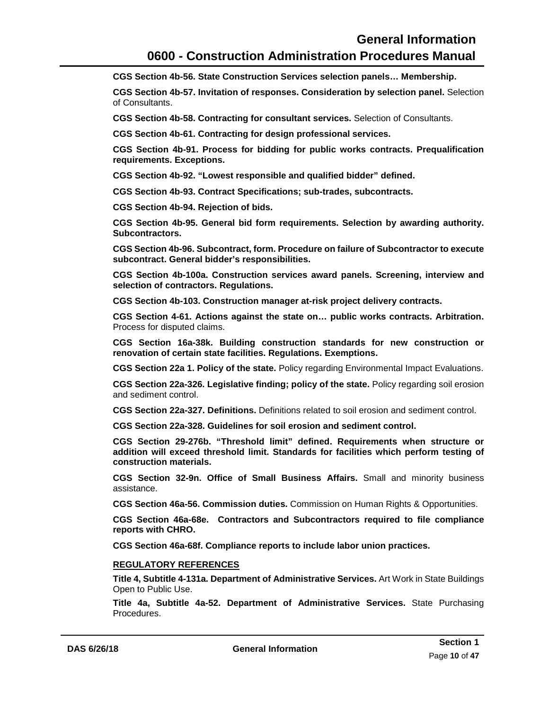### **General Information 0600 - Construction Administration Procedures Manual**

**CGS Section 4b-56. State Construction Services selection panels… Membership.**

**CGS Section 4b-57. Invitation of responses. Consideration by selection panel.** Selection of Consultants.

**CGS Section 4b-58. Contracting for consultant services.** Selection of Consultants.

**CGS Section 4b-61. Contracting for design professional services.**

**CGS Section 4b-91. Process for bidding for public works contracts. Prequalification requirements. Exceptions.**

**CGS Section 4b-92. "Lowest responsible and qualified bidder" defined.** 

**CGS Section 4b-93. Contract Specifications; sub-trades, subcontracts.**

**CGS Section 4b-94. Rejection of bids.** 

**CGS Section 4b-95. General bid form requirements. Selection by awarding authority. Subcontractors.** 

**CGS Section 4b-96. Subcontract, form. Procedure on failure of Subcontractor to execute subcontract. General bidder's responsibilities.** 

**CGS Section 4b-100a. Construction services award panels. Screening, interview and selection of contractors. Regulations.**

**CGS Section 4b-103. Construction manager at-risk project delivery contracts.**

**CGS Section 4-61. Actions against the state on… public works contracts. Arbitration.**  Process for disputed claims.

**CGS Section 16a-38k. Building construction standards for new construction or renovation of certain state facilities. Regulations. Exemptions.**

**CGS Section 22a 1. Policy of the state.** Policy regarding Environmental Impact Evaluations.

**CGS Section 22a-326. Legislative finding; policy of the state.** Policy regarding soil erosion and sediment control.

**CGS Section 22a-327. Definitions.** Definitions related to soil erosion and sediment control.

**CGS Section 22a-328. Guidelines for soil erosion and sediment control.**

**CGS Section 29-276b. "Threshold limit" defined. Requirements when structure or addition will exceed threshold limit. Standards for facilities which perform testing of construction materials.**

**CGS Section 32-9n. Office of Small Business Affairs.** Small and minority business assistance.

**CGS Section 46a-56. Commission duties.** Commission on Human Rights & Opportunities.

**CGS Section 46a-68e. Contractors and Subcontractors required to file compliance reports with CHRO.**

**CGS Section 46a-68f. Compliance reports to include labor union practices.**

#### **REGULATORY REFERENCES**

**Title 4, Subtitle 4-131a. Department of Administrative Services.** Art Work in State Buildings Open to Public Use.

**Title 4a, Subtitle 4a-52. Department of Administrative Services.** State Purchasing Procedures.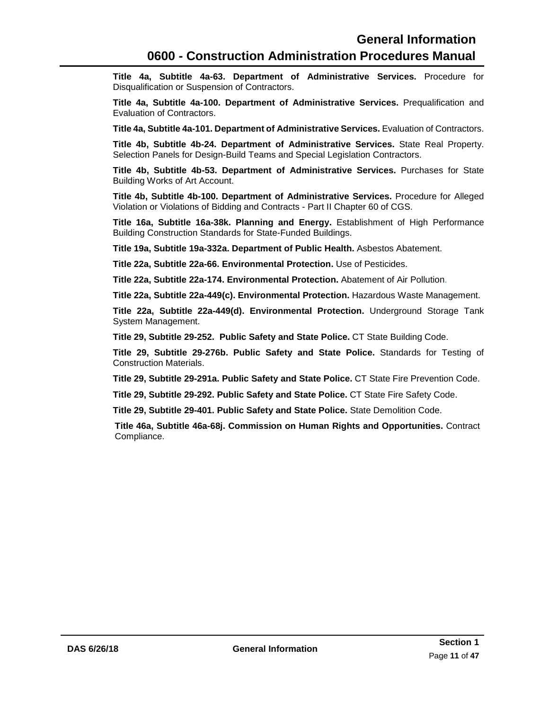**Title 4a, Subtitle 4a-63. Department of Administrative Services.** Procedure for Disqualification or Suspension of Contractors.

**Title 4a, Subtitle 4a-100. Department of Administrative Services.** Prequalification and Evaluation of Contractors.

**Title 4a, Subtitle 4a-101. Department of Administrative Services.** Evaluation of Contractors.

**Title 4b, Subtitle 4b-24. Department of Administrative Services.** State Real Property. Selection Panels for Design-Build Teams and Special Legislation Contractors.

**Title 4b, Subtitle 4b-53. Department of Administrative Services.** Purchases for State Building Works of Art Account.

**Title 4b, Subtitle 4b-100. Department of Administrative Services.** Procedure for Alleged Violation or Violations of Bidding and Contracts - Part II Chapter 60 of CGS.

**Title 16a, Subtitle 16a-38k. Planning and Energy.** Establishment of High Performance Building Construction Standards for State-Funded Buildings.

**Title 19a, Subtitle 19a-332a. Department of Public Health.** Asbestos Abatement.

**Title 22a, Subtitle 22a-66. Environmental Protection.** Use of Pesticides.

**Title 22a, Subtitle 22a-174. Environmental Protection.** Abatement of Air Pollution.

**Title 22a, Subtitle 22a-449(c). Environmental Protection.** Hazardous Waste Management.

**Title 22a, Subtitle 22a-449(d). Environmental Protection.** Underground Storage Tank System Management.

**Title 29, Subtitle 29-252. Public Safety and State Police.** CT State Building Code.

**Title 29, Subtitle 29-276b. Public Safety and State Police.** Standards for Testing of Construction Materials.

**Title 29, Subtitle 29-291a. Public Safety and State Police.** CT State Fire Prevention Code.

**Title 29, Subtitle 29-292. Public Safety and State Police.** CT State Fire Safety Code.

**Title 29, Subtitle 29-401. Public Safety and State Police.** State Demolition Code.

**Title 46a, Subtitle 46a-68j. Commission on Human Rights and Opportunities.** Contract Compliance.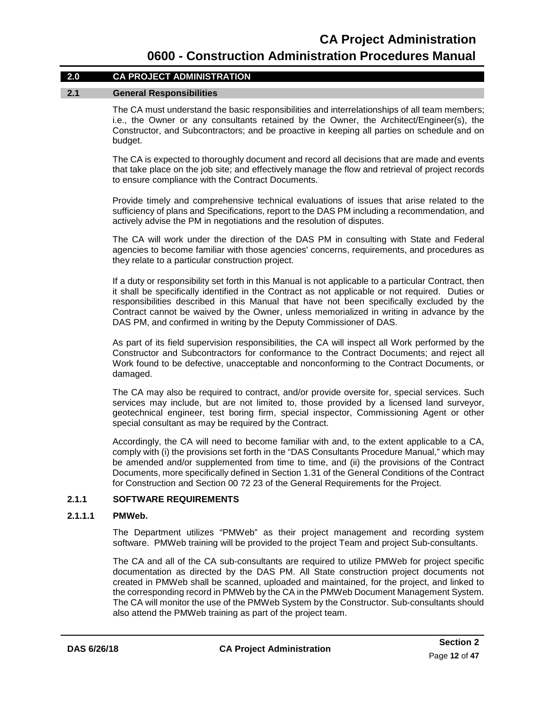#### **2.0 CA PROJECT ADMINISTRATION**

#### **2.1 General Responsibilities**

<span id="page-15-0"></span>The CA must understand the basic responsibilities and interrelationships of all team members; i.e., the Owner or any consultants retained by the Owner, the Architect/Engineer(s), the Constructor, and Subcontractors; and be proactive in keeping all parties on schedule and on budget.

The CA is expected to thoroughly document and record all decisions that are made and events that take place on the job site; and effectively manage the flow and retrieval of project records to ensure compliance with the Contract Documents.

Provide timely and comprehensive technical evaluations of issues that arise related to the sufficiency of plans and Specifications, report to the DAS PM including a recommendation, and actively advise the PM in negotiations and the resolution of disputes.

The CA will work under the direction of the DAS PM in consulting with State and Federal agencies to become familiar with those agencies' concerns, requirements, and procedures as they relate to a particular construction project.

If a duty or responsibility set forth in this Manual is not applicable to a particular Contract, then it shall be specifically identified in the Contract as not applicable or not required. Duties or responsibilities described in this Manual that have not been specifically excluded by the Contract cannot be waived by the Owner, unless memorialized in writing in advance by the DAS PM, and confirmed in writing by the Deputy Commissioner of DAS.

As part of its field supervision responsibilities, the CA will inspect all Work performed by the Constructor and Subcontractors for conformance to the Contract Documents; and reject all Work found to be defective, unacceptable and nonconforming to the Contract Documents, or damaged.

The CA may also be required to contract, and/or provide oversite for, special services. Such services may include, but are not limited to, those provided by a licensed land surveyor, geotechnical engineer, test boring firm, special inspector, Commissioning Agent or other special consultant as may be required by the Contract.

Accordingly, the CA will need to become familiar with and, to the extent applicable to a CA, comply with (i) the provisions set forth in the "DAS Consultants Procedure Manual," which may be amended and/or supplemented from time to time, and (ii) the provisions of the Contract Documents, more specifically defined in Section 1.31 of the General Conditions of the Contract for Construction and Section 00 72 23 of the General Requirements for the Project.

#### **2.1.1 SOFTWARE REQUIREMENTS**

#### **2.1.1.1 PMWeb.**

<span id="page-15-1"></span>The Department utilizes "PMWeb" as their project management and recording system software. PMWeb training will be provided to the project Team and project Sub-consultants.

The CA and all of the CA sub-consultants are required to utilize PMWeb for project specific documentation as directed by the DAS PM. All State construction project documents not created in PMWeb shall be scanned, uploaded and maintained, for the project, and linked to the corresponding record in PMWeb by the CA in the PMWeb Document Management System. The CA will monitor the use of the PMWeb System by the Constructor. Sub-consultants should also attend the PMWeb training as part of the project team.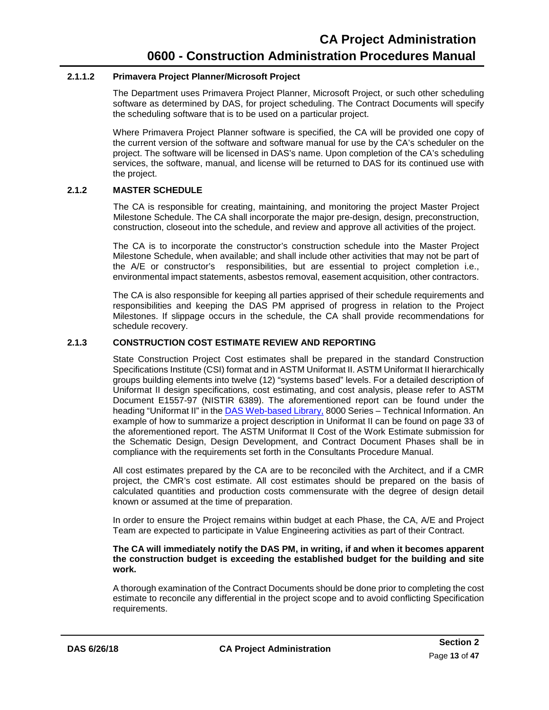#### **2.1.1.2 Primavera Project Planner/Microsoft Project**

The Department uses Primavera Project Planner, Microsoft Project, or such other scheduling software as determined by DAS, for project scheduling. The Contract Documents will specify the scheduling software that is to be used on a particular project.

Where Primavera Project Planner software is specified, the CA will be provided one copy of the current version of the software and software manual for use by the CA's scheduler on the project. The software will be licensed in DAS's name. Upon completion of the CA's scheduling services, the software, manual, and license will be returned to DAS for its continued use with the project.

#### <span id="page-16-0"></span>**2.1.2 MASTER SCHEDULE**

The CA is responsible for creating, maintaining, and monitoring the project Master Project Milestone Schedule. The CA shall incorporate the major pre-design, design, preconstruction, construction, closeout into the schedule, and review and approve all activities of the project.

The CA is to incorporate the constructor's construction schedule into the Master Project Milestone Schedule, when available; and shall include other activities that may not be part of the A/E or constructor's responsibilities, but are essential to project completion i.e., environmental impact statements, asbestos removal, easement acquisition, other contractors.

The CA is also responsible for keeping all parties apprised of their schedule requirements and responsibilities and keeping the DAS PM apprised of progress in relation to the Project Milestones. If slippage occurs in the schedule, the CA shall provide recommendations for schedule recovery.

#### **2.1.3 CONSTRUCTION COST ESTIMATE REVIEW AND REPORTING**

<span id="page-16-1"></span>State Construction Project Cost estimates shall be prepared in the standard Construction Specifications Institute (CSI) format and in ASTM Uniformat II. ASTM Uniformat II hierarchically groups building elements into twelve (12) "systems based" levels. For a detailed description of Uniformat II design specifications, cost estimating, and cost analysis, please refer to ASTM Document E1557-97 (NISTIR 6389). The aforementioned report can be found under the heading "Uniformat II" in the **DAS Web-based Library**, 8000 Series - [Technical Information.](https://portal.ct.gov/DAS/Lists/DAS-Construction-Services-Library/8000-Series---Technical-Services-Information) An example of how to summarize a project description in Uniformat II can be found on page 33 of the aforementioned report. The ASTM Uniformat II Cost of the Work Estimate submission for the Schematic Design, Design Development, and Contract Document Phases shall be in compliance with the requirements set forth in the Consultants Procedure Manual.

All cost estimates prepared by the CA are to be reconciled with the Architect, and if a CMR project, the CMR's cost estimate. All cost estimates should be prepared on the basis of calculated quantities and production costs commensurate with the degree of design detail known or assumed at the time of preparation.

In order to ensure the Project remains within budget at each Phase, the CA, A/E and Project Team are expected to participate in Value Engineering activities as part of their Contract.

#### **The CA will immediately notify the DAS PM, in writing, if and when it becomes apparent the construction budget is exceeding the established budget for the building and site work.**

A thorough examination of the Contract Documents should be done prior to completing the cost estimate to reconcile any differential in the project scope and to avoid conflicting Specification requirements.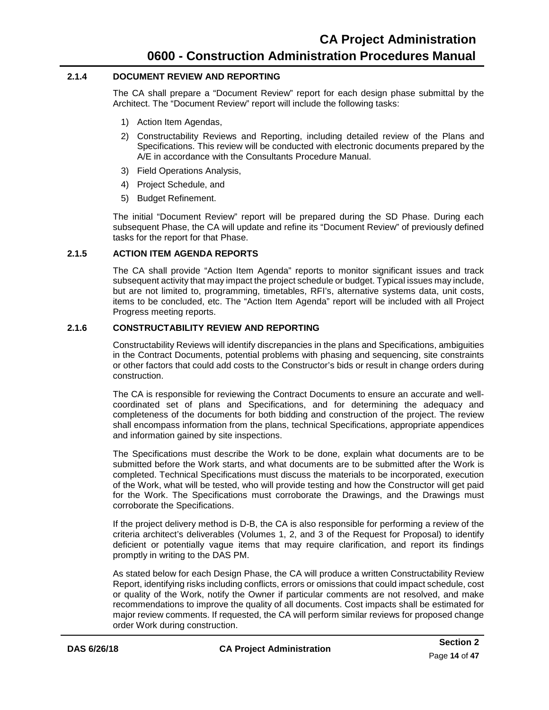#### **2.1.4 DOCUMENT REVIEW AND REPORTING**

<span id="page-17-0"></span>The CA shall prepare a "Document Review" report for each design phase submittal by the Architect. The "Document Review" report will include the following tasks:

- 1) Action Item Agendas,
- 2) Constructability Reviews and Reporting, including detailed review of the Plans and Specifications. This review will be conducted with electronic documents prepared by the A/E in accordance with the Consultants Procedure Manual.
- 3) Field Operations Analysis,
- 4) Project Schedule, and
- 5) Budget Refinement.

The initial "Document Review" report will be prepared during the SD Phase. During each subsequent Phase, the CA will update and refine its "Document Review" of previously defined tasks for the report for that Phase.

#### **2.1.5 ACTION ITEM AGENDA REPORTS**

<span id="page-17-1"></span>The CA shall provide "Action Item Agenda" reports to monitor significant issues and track subsequent activity that may impact the project schedule or budget. Typical issues may include, but are not limited to, programming, timetables, RFI's, alternative systems data, unit costs, items to be concluded, etc. The "Action Item Agenda" report will be included with all Project Progress meeting reports.

#### <span id="page-17-2"></span>**2.1.6 CONSTRUCTABILITY REVIEW AND REPORTING**

Constructability Reviews will identify discrepancies in the plans and Specifications, ambiguities in the Contract Documents, potential problems with phasing and sequencing, site constraints or other factors that could add costs to the Constructor's bids or result in change orders during construction.

The CA is responsible for reviewing the Contract Documents to ensure an accurate and wellcoordinated set of plans and Specifications, and for determining the adequacy and completeness of the documents for both bidding and construction of the project. The review shall encompass information from the plans, technical Specifications, appropriate appendices and information gained by site inspections.

The Specifications must describe the Work to be done, explain what documents are to be submitted before the Work starts, and what documents are to be submitted after the Work is completed. Technical Specifications must discuss the materials to be incorporated, execution of the Work, what will be tested, who will provide testing and how the Constructor will get paid for the Work. The Specifications must corroborate the Drawings, and the Drawings must corroborate the Specifications.

If the project delivery method is D-B, the CA is also responsible for performing a review of the criteria architect's deliverables (Volumes 1, 2, and 3 of the Request for Proposal) to identify deficient or potentially vague items that may require clarification, and report its findings promptly in writing to the DAS PM.

As stated below for each Design Phase, the CA will produce a written Constructability Review Report, identifying risks including conflicts, errors or omissions that could impact schedule, cost or quality of the Work, notify the Owner if particular comments are not resolved, and make recommendations to improve the quality of all documents. Cost impacts shall be estimated for major review comments. If requested, the CA will perform similar reviews for proposed change order Work during construction.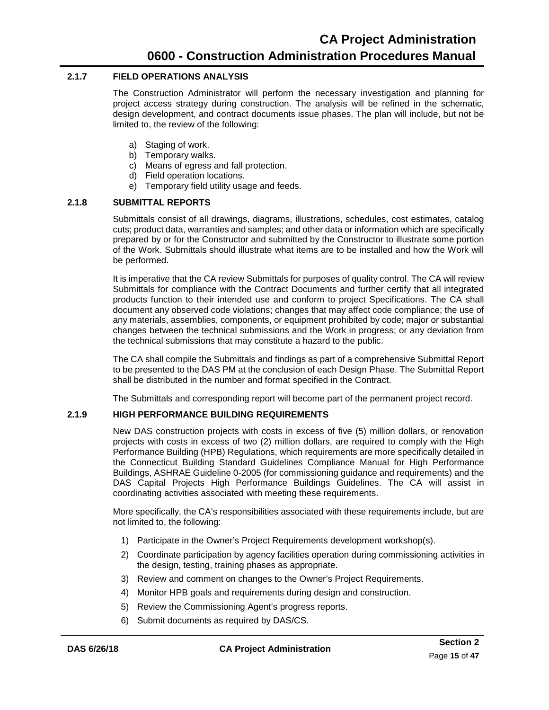#### <span id="page-18-0"></span>**2.1.7 FIELD OPERATIONS ANALYSIS**

The Construction Administrator will perform the necessary investigation and planning for project access strategy during construction. The analysis will be refined in the schematic, design development, and contract documents issue phases. The plan will include, but not be limited to, the review of the following:

- a) Staging of work.
- b) Temporary walks.
- c) Means of egress and fall protection.
- d) Field operation locations.
- e) Temporary field utility usage and feeds.

#### **2.1.8 SUBMITTAL REPORTS**

<span id="page-18-1"></span>Submittals consist of all drawings, diagrams, illustrations, schedules, cost estimates, catalog cuts; product data, warranties and samples; and other data or information which are specifically prepared by or for the Constructor and submitted by the Constructor to illustrate some portion of the Work. Submittals should illustrate what items are to be installed and how the Work will be performed.

It is imperative that the CA review Submittals for purposes of quality control. The CA will review Submittals for compliance with the Contract Documents and further certify that all integrated products function to their intended use and conform to project Specifications. The CA shall document any observed code violations; changes that may affect code compliance; the use of any materials, assemblies, components, or equipment prohibited by code; major or substantial changes between the technical submissions and the Work in progress; or any deviation from the technical submissions that may constitute a hazard to the public.

The CA shall compile the Submittals and findings as part of a comprehensive Submittal Report to be presented to the DAS PM at the conclusion of each Design Phase. The Submittal Report shall be distributed in the number and format specified in the Contract.

<span id="page-18-2"></span>The Submittals and corresponding report will become part of the permanent project record.

#### **2.1.9 HIGH PERFORMANCE BUILDING REQUIREMENTS**

New DAS construction projects with costs in excess of five (5) million dollars, or renovation projects with costs in excess of two (2) million dollars, are required to comply with the High Performance Building (HPB) Regulations, which requirements are more specifically detailed in the Connecticut Building Standard Guidelines Compliance Manual for High Performance Buildings, ASHRAE Guideline 0-2005 (for commissioning guidance and requirements) and the DAS Capital Projects High Performance Buildings Guidelines. The CA will assist in coordinating activities associated with meeting these requirements.

More specifically, the CA's responsibilities associated with these requirements include, but are not limited to, the following:

- 1) Participate in the Owner's Project Requirements development workshop(s).
- 2) Coordinate participation by agency facilities operation during commissioning activities in the design, testing, training phases as appropriate.
- 3) Review and comment on changes to the Owner's Project Requirements.
- 4) Monitor HPB goals and requirements during design and construction.
- 5) Review the Commissioning Agent's progress reports.
- 6) Submit documents as required by DAS/CS.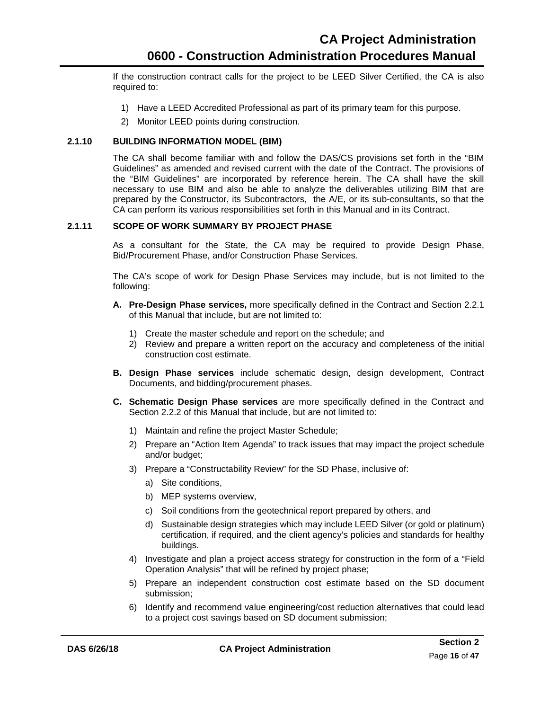If the construction contract calls for the project to be LEED Silver Certified, the CA is also required to:

- 1) Have a LEED Accredited Professional as part of its primary team for this purpose.
- 2) Monitor LEED points during construction.

#### **2.1.10 BUILDING INFORMATION MODEL (BIM)**

<span id="page-19-0"></span>The CA shall become familiar with and follow the DAS/CS provisions set forth in the "BIM Guidelines" as amended and revised current with the date of the Contract. The provisions of the "BIM Guidelines" are incorporated by reference herein. The CA shall have the skill necessary to use BIM and also be able to analyze the deliverables utilizing BIM that are prepared by the Constructor, its Subcontractors, the A/E, or its sub-consultants, so that the CA can perform its various responsibilities set forth in this Manual and in its Contract.

#### **2.1.11 SCOPE OF WORK SUMMARY BY PROJECT PHASE**

<span id="page-19-1"></span>As a consultant for the State, the CA may be required to provide Design Phase, Bid/Procurement Phase, and/or Construction Phase Services.

The CA's scope of work for Design Phase Services may include, but is not limited to the following:

- **A. Pre-Design Phase services,** more specifically defined in the Contract and [Section 2.2.1](#page-22-3) of this Manual that include, but are not limited to:
	- 1) Create the master schedule and report on the schedule; and
	- 2) Review and prepare a written report on the accuracy and completeness of the initial construction cost estimate.
- **B. Design Phase services** include schematic design, design development, Contract Documents, and bidding/procurement phases.
- **C. Schematic Design Phase services** are more specifically defined in the Contract and [Section 2.2.2](#page-22-2) of this Manual that include, but are not limited to:
	- 1) Maintain and refine the project Master Schedule;
	- 2) Prepare an "Action Item Agenda" to track issues that may impact the project schedule and/or budget;
	- 3) Prepare a "Constructability Review" for the SD Phase, inclusive of:
		- a) Site conditions,
		- b) MEP systems overview,
		- c) Soil conditions from the geotechnical report prepared by others, and
		- d) Sustainable design strategies which may include LEED Silver (or gold or platinum) certification, if required, and the client agency's policies and standards for healthy buildings.
	- 4) Investigate and plan a project access strategy for construction in the form of a "Field Operation Analysis" that will be refined by project phase;
	- 5) Prepare an independent construction cost estimate based on the SD document submission;
	- 6) Identify and recommend value engineering/cost reduction alternatives that could lead to a project cost savings based on SD document submission;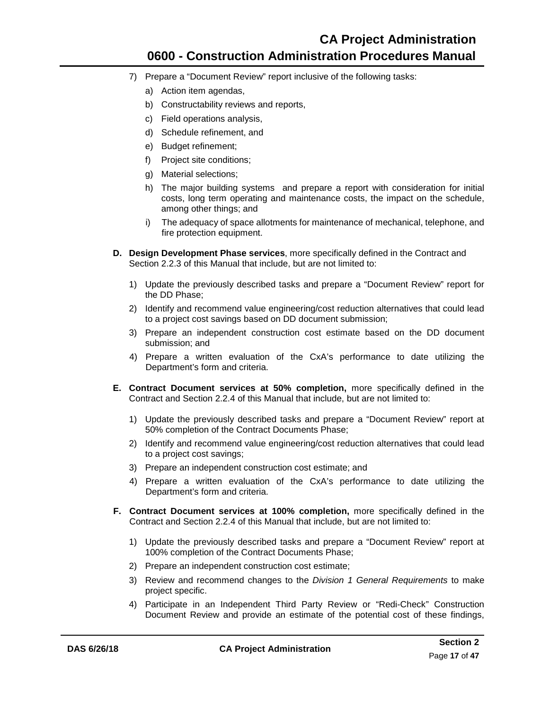- 7) Prepare a "Document Review" report inclusive of the following tasks:
	- a) Action item agendas,
	- b) Constructability reviews and reports,
	- c) Field operations analysis,
	- d) Schedule refinement, and
	- e) Budget refinement;
	- f) Project site conditions;
	- g) Material selections;
	- h) The major building systems and prepare a report with consideration for initial costs, long term operating and maintenance costs, the impact on the schedule, among other things; and
	- i) The adequacy of space allotments for maintenance of mechanical, telephone, and fire protection equipment.
- **D. Design Development Phase services**, more specifically defined in the Contract and [Section 2.2.3](#page-24-6) of this Manual that include, but are not limited to:
	- 1) Update the previously described tasks and prepare a "Document Review" report for the DD Phase;
	- 2) Identify and recommend value engineering/cost reduction alternatives that could lead to a project cost savings based on DD document submission;
	- 3) Prepare an independent construction cost estimate based on the DD document submission; and
	- 4) Prepare a written evaluation of the CxA's performance to date utilizing the Department's form and criteria.
- **E. Contract Document services at 50% completion,** more specifically defined in the Contract and [Section 2.2.4](#page-26-1) of this Manual that include, but are not limited to:
	- 1) Update the previously described tasks and prepare a "Document Review" report at 50% completion of the Contract Documents Phase;
	- 2) Identify and recommend value engineering/cost reduction alternatives that could lead to a project cost savings;
	- 3) Prepare an independent construction cost estimate; and
	- 4) Prepare a written evaluation of the CxA's performance to date utilizing the Department's form and criteria.
- **F. Contract Document services at 100% completion,** more specifically defined in the Contract and [Section 2.2.4](#page-26-1) of this Manual that include, but are not limited to:
	- 1) Update the previously described tasks and prepare a "Document Review" report at 100% completion of the Contract Documents Phase;
	- 2) Prepare an independent construction cost estimate;
	- 3) Review and recommend changes to the *Division 1 General Requirements* to make project specific.
	- 4) Participate in an Independent Third Party Review or "Redi-Check" Construction Document Review and provide an estimate of the potential cost of these findings,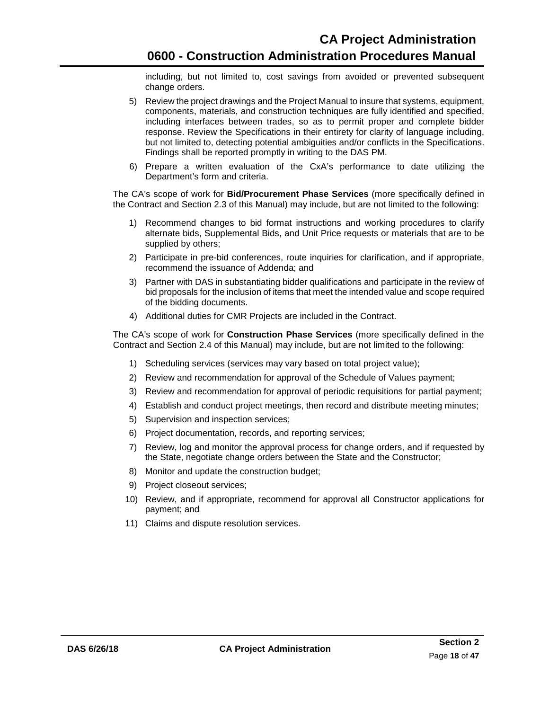including, but not limited to, cost savings from avoided or prevented subsequent change orders.

- 5) Review the project drawings and the Project Manual to insure that systems, equipment, components, materials, and construction techniques are fully identified and specified, including interfaces between trades, so as to permit proper and complete bidder response. Review the Specifications in their entirety for clarity of language including, but not limited to, detecting potential ambiguities and/or conflicts in the Specifications. Findings shall be reported promptly in writing to the DAS PM.
- 6) Prepare a written evaluation of the CxA's performance to date utilizing the Department's form and criteria.

The CA's scope of work for **Bid/Procurement Phase Services** (more specifically defined in the Contract and [Section 2.3](#page-29-0) of this Manual) may include, but are not limited to the following:

- 1) Recommend changes to bid format instructions and working procedures to clarify alternate bids, Supplemental Bids, and Unit Price requests or materials that are to be supplied by others;
- 2) Participate in pre-bid conferences, route inquiries for clarification, and if appropriate, recommend the issuance of Addenda; and
- 3) Partner with DAS in substantiating bidder qualifications and participate in the review of bid proposals for the inclusion of items that meet the intended value and scope required of the bidding documents.
- 4) Additional duties for CMR Projects are included in the Contract.

The CA's scope of work for **Construction Phase Services** (more specifically defined in the Contract and [Section 2.4](#page-31-0) of this Manual) may include, but are not limited to the following:

- 1) Scheduling services (services may vary based on total project value);
- 2) Review and recommendation for approval of the Schedule of Values payment;
- 3) Review and recommendation for approval of periodic requisitions for partial payment;
- 4) Establish and conduct project meetings, then record and distribute meeting minutes;
- 5) Supervision and inspection services;
- 6) Project documentation, records, and reporting services;
- 7) Review, log and monitor the approval process for change orders, and if requested by the State, negotiate change orders between the State and the Constructor;
- 8) Monitor and update the construction budget;
- 9) Project closeout services;
- 10) Review, and if appropriate, recommend for approval all Constructor applications for payment; and
- 11) Claims and dispute resolution services.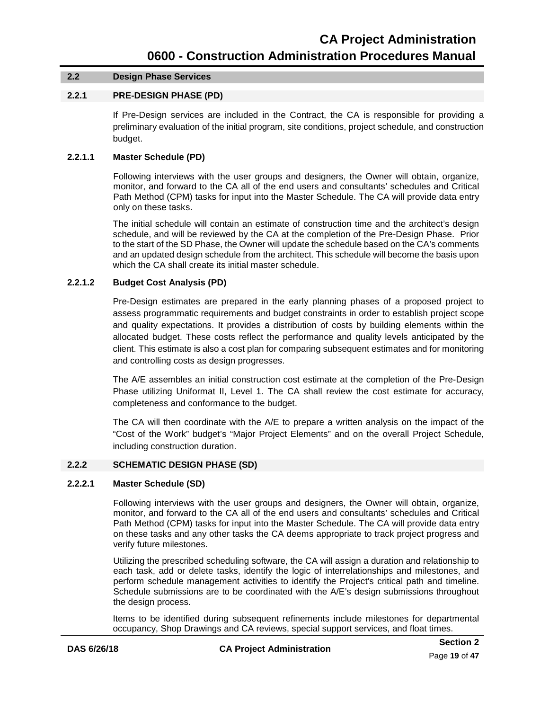#### **2.2 Design Phase Services**

#### **2.2.1 PRE-DESIGN PHASE (PD)**

<span id="page-22-3"></span>If Pre-Design services are included in the Contract, the CA is responsible for providing a preliminary evaluation of the initial program, site conditions, project schedule, and construction budget.

#### **2.2.1.1 Master Schedule (PD)**

<span id="page-22-0"></span>Following interviews with the user groups and designers, the Owner will obtain, organize, monitor, and forward to the CA all of the end users and consultants' schedules and Critical Path Method (CPM) tasks for input into the Master Schedule. The CA will provide data entry only on these tasks.

The initial schedule will contain an estimate of construction time and the architect's design schedule, and will be reviewed by the CA at the completion of the Pre-Design Phase. Prior to the start of the SD Phase, the Owner will update the schedule based on the CA's comments and an updated design schedule from the architect. This schedule will become the basis upon which the CA shall create its initial master schedule.

#### **2.2.1.2 Budget Cost Analysis (PD)**

<span id="page-22-1"></span>Pre-Design estimates are prepared in the early planning phases of a proposed project to assess programmatic requirements and budget constraints in order to establish project scope and quality expectations. It provides a distribution of costs by building elements within the allocated budget. These costs reflect the performance and quality levels anticipated by the client. This estimate is also a cost plan for comparing subsequent estimates and for monitoring and controlling costs as design progresses.

The A/E assembles an initial construction cost estimate at the completion of the Pre-Design Phase utilizing Uniformat II, Level 1. The CA shall review the cost estimate for accuracy, completeness and conformance to the budget.

The CA will then coordinate with the A/E to prepare a written analysis on the impact of the "Cost of the Work" budget's "Major Project Elements" and on the overall Project Schedule, including construction duration.

#### **2.2.2 SCHEMATIC DESIGN PHASE (SD)**

#### **2.2.2.1 Master Schedule (SD)**

<span id="page-22-2"></span>Following interviews with the user groups and designers, the Owner will obtain, organize, monitor, and forward to the CA all of the end users and consultants' schedules and Critical Path Method (CPM) tasks for input into the Master Schedule. The CA will provide data entry on these tasks and any other tasks the CA deems appropriate to track project progress and verify future milestones.

Utilizing the prescribed scheduling software, the CA will assign a duration and relationship to each task, add or delete tasks, identify the logic of interrelationships and milestones, and perform schedule management activities to identify the Project's critical path and timeline. Schedule submissions are to be coordinated with the A/E's design submissions throughout the design process.

Items to be identified during subsequent refinements include milestones for departmental occupancy, Shop Drawings and CA reviews, special support services, and float times.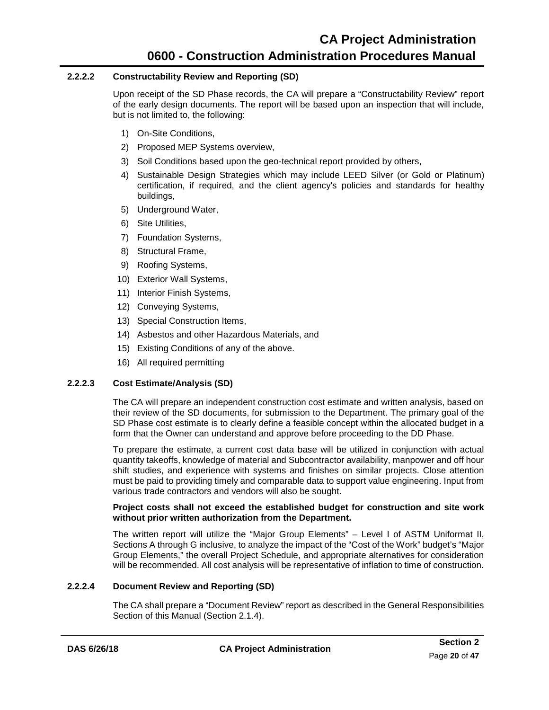#### **2.2.2.2 Constructability Review and Reporting (SD)**

<span id="page-23-0"></span>Upon receipt of the SD Phase records, the CA will prepare a "Constructability Review" report of the early design documents. The report will be based upon an inspection that will include, but is not limited to, the following:

- 1) On-Site Conditions,
- 2) Proposed MEP Systems overview,
- 3) Soil Conditions based upon the geo-technical report provided by others,
- 4) Sustainable Design Strategies which may include LEED Silver (or Gold or Platinum) certification, if required, and the client agency's policies and standards for healthy buildings,
- 5) Underground Water,
- 6) Site Utilities,
- 7) Foundation Systems,
- 8) Structural Frame,
- 9) Roofing Systems,
- 10) Exterior Wall Systems,
- 11) Interior Finish Systems,
- 12) Conveying Systems,
- 13) Special Construction Items,
- 14) Asbestos and other Hazardous Materials, and
- 15) Existing Conditions of any of the above.
- 16) All required permitting

#### **2.2.2.3 Cost Estimate/Analysis (SD)**

<span id="page-23-1"></span>The CA will prepare an independent construction cost estimate and written analysis, based on their review of the SD documents, for submission to the Department. The primary goal of the SD Phase cost estimate is to clearly define a feasible concept within the allocated budget in a form that the Owner can understand and approve before proceeding to the DD Phase.

To prepare the estimate, a current cost data base will be utilized in conjunction with actual quantity takeoffs, knowledge of material and Subcontractor availability, manpower and off hour shift studies, and experience with systems and finishes on similar projects. Close attention must be paid to providing timely and comparable data to support value engineering. Input from various trade contractors and vendors will also be sought.

#### **Project costs shall not exceed the established budget for construction and site work without prior written authorization from the Department.**

The written report will utilize the "Major Group Elements" – Level I of ASTM Uniformat II, Sections A through G inclusive, to analyze the impact of the "Cost of the Work" budget's "Major Group Elements," the overall Project Schedule, and appropriate alternatives for consideration will be recommended. All cost analysis will be representative of inflation to time of construction.

#### <span id="page-23-2"></span>**2.2.2.4 Document Review and Reporting (SD)**

The CA shall prepare a "Document Review" report as described in the General Responsibilities Section of this Manual [\(Section 2.1.4\)](#page-17-0).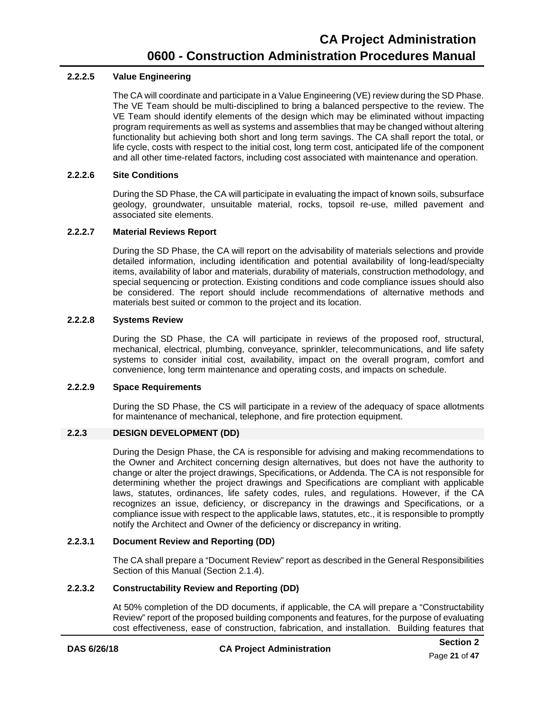#### **2.2.2.5 Value Engineering**

<span id="page-24-1"></span>The CA will coordinate and participate in a Value Engineering (VE) review during the SD Phase. The VE Team should be multi-disciplined to bring a balanced perspective to the review. The VE Team should identify elements of the design which may be eliminated without impacting program requirements as well as systems and assemblies that may be changed without altering functionality but achieving both short and long term savings. The CA shall report the total, or life cycle, costs with respect to the initial cost, long term cost, anticipated life of the component and all other time-related factors, including cost associated with maintenance and operation.

#### **2.2.2.6 Site Conditions**

<span id="page-24-2"></span>During the SD Phase, the CA will participate in evaluating the impact of known soils, subsurface geology, groundwater, unsuitable material, rocks, topsoil re-use, milled pavement and associated site elements.

#### <span id="page-24-3"></span>**2.2.2.7 Material Reviews Report**

During the SD Phase, the CA will report on the advisability of materials selections and provide detailed information, including identification and potential availability of long-lead/specialty items, availability of labor and materials, durability of materials, construction methodology, and special sequencing or protection. Existing conditions and code compliance issues should also be considered. The report should include recommendations of alternative methods and materials best suited or common to the project and its location.

#### **2.2.2.8 Systems Review**

<span id="page-24-4"></span>During the SD Phase, the CA will participate in reviews of the proposed roof, structural, mechanical, electrical, plumbing, conveyance, sprinkler, telecommunications, and life safety systems to consider initial cost, availability, impact on the overall program, comfort and convenience, long term maintenance and operating costs, and impacts on schedule.

#### **2.2.2.9 Space Requirements**

<span id="page-24-5"></span>During the SD Phase, the CS will participate in a review of the adequacy of space allotments for maintenance of mechanical, telephone, and fire protection equipment.

#### **2.2.3 DESIGN DEVELOPMENT (DD)**

<span id="page-24-0"></span>During the Design Phase, the CA is responsible for advising and making recommendations to the Owner and Architect concerning design alternatives, but does not have the authority to change or alter the project drawings, Specifications, or Addenda. The CA is not responsible for determining whether the project drawings and Specifications are compliant with applicable laws, statutes, ordinances, life safety codes, rules, and regulations. However, if the CA recognizes an issue, deficiency, or discrepancy in the drawings and Specifications, or a compliance issue with respect to the applicable laws, statutes, etc., it is responsible to promptly notify the Architect and Owner of the deficiency or discrepancy in writing.

#### **2.2.3.1 Document Review and Reporting (DD)**

<span id="page-24-6"></span>The CA shall prepare a "Document Review" report as described in the General Responsibilities Section of this Manual [\(Section 2.1.4\)](#page-17-0).

#### **2.2.3.2 Constructability Review and Reporting (DD)**

<span id="page-24-7"></span>At 50% completion of the DD documents, if applicable, the CA will prepare a "Constructability Review" report of the proposed building components and features, for the purpose of evaluating cost effectiveness, ease of construction, fabrication, and installation. Building features that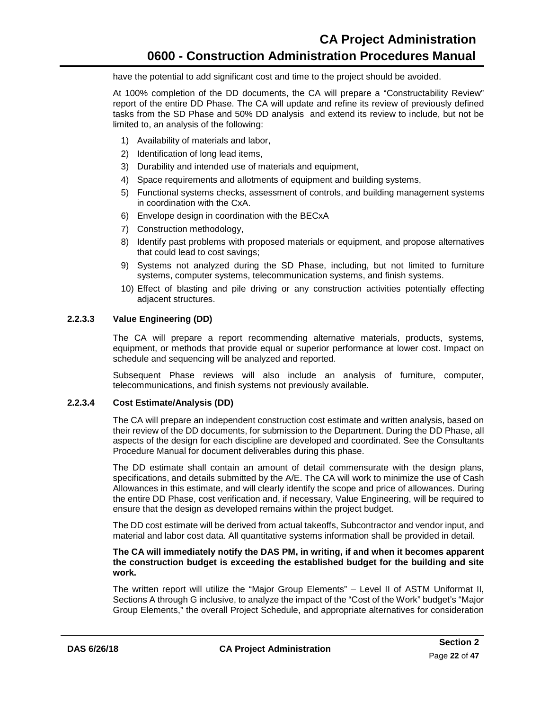have the potential to add significant cost and time to the project should be avoided.

At 100% completion of the DD documents, the CA will prepare a "Constructability Review" report of the entire DD Phase. The CA will update and refine its review of previously defined tasks from the SD Phase and 50% DD analysis and extend its review to include, but not be limited to, an analysis of the following:

- 1) Availability of materials and labor,
- 2) Identification of long lead items,
- 3) Durability and intended use of materials and equipment,
- 4) Space requirements and allotments of equipment and building systems,
- 5) Functional systems checks, assessment of controls, and building management systems in coordination with the CxA.
- 6) Envelope design in coordination with the BECxA
- 7) Construction methodology,
- 8) Identify past problems with proposed materials or equipment, and propose alternatives that could lead to cost savings;
- 9) Systems not analyzed during the SD Phase, including, but not limited to furniture systems, computer systems, telecommunication systems, and finish systems.
- 10) Effect of blasting and pile driving or any construction activities potentially effecting adjacent structures.

#### <span id="page-25-0"></span>**2.2.3.3 Value Engineering (DD)**

The CA will prepare a report recommending alternative materials, products, systems, equipment, or methods that provide equal or superior performance at lower cost. Impact on schedule and sequencing will be analyzed and reported.

Subsequent Phase reviews will also include an analysis of furniture, computer, telecommunications, and finish systems not previously available.

#### **2.2.3.4 Cost Estimate/Analysis (DD)**

<span id="page-25-1"></span>The CA will prepare an independent construction cost estimate and written analysis, based on their review of the DD documents, for submission to the Department. During the DD Phase, all aspects of the design for each discipline are developed and coordinated. See the Consultants Procedure Manual for document deliverables during this phase.

The DD estimate shall contain an amount of detail commensurate with the design plans, specifications, and details submitted by the A/E. The CA will work to minimize the use of Cash Allowances in this estimate, and will clearly identify the scope and price of allowances. During the entire DD Phase, cost verification and, if necessary, Value Engineering, will be required to ensure that the design as developed remains within the project budget.

The DD cost estimate will be derived from actual takeoffs, Subcontractor and vendor input, and material and labor cost data. All quantitative systems information shall be provided in detail.

#### **The CA will immediately notify the DAS PM, in writing, if and when it becomes apparent the construction budget is exceeding the established budget for the building and site work.**

The written report will utilize the "Major Group Elements" – Level II of ASTM Uniformat II, Sections A through G inclusive, to analyze the impact of the "Cost of the Work" budget's "Major Group Elements," the overall Project Schedule, and appropriate alternatives for consideration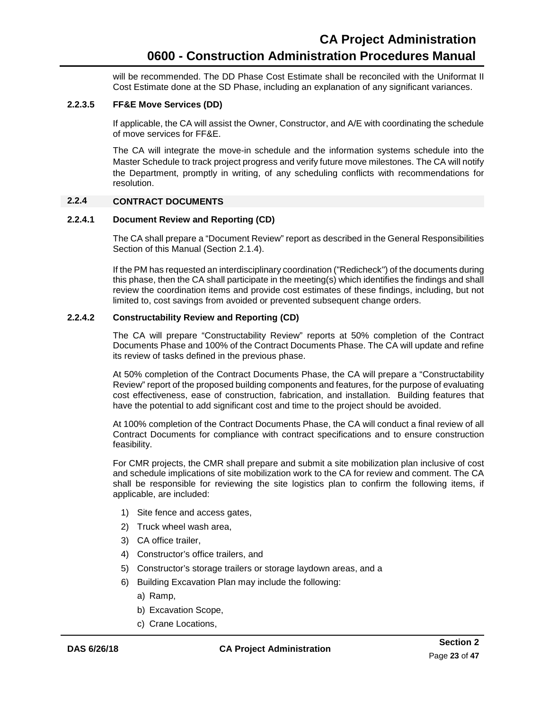will be recommended. The DD Phase Cost Estimate shall be reconciled with the Uniformat II Cost Estimate done at the SD Phase, including an explanation of any significant variances.

#### **2.2.3.5 FF&E Move Services (DD)**

<span id="page-26-0"></span>If applicable, the CA will assist the Owner, Constructor, and A/E with coordinating the schedule of move services for FF&E.

The CA will integrate the move-in schedule and the information systems schedule into the Master Schedule to track project progress and verify future move milestones. The CA will notify the Department, promptly in writing, of any scheduling conflicts with recommendations for resolution.

#### **2.2.4 CONTRACT DOCUMENTS**

#### **2.2.4.1 Document Review and Reporting (CD)**

<span id="page-26-1"></span>The CA shall prepare a "Document Review" report as described in the General Responsibilities Section of this Manual [\(Section 2.1.4\)](#page-17-0).

If the PM has requested an interdisciplinary coordination ("Redicheck") of the documents during this phase, then the CA shall participate in the meeting(s) which identifies the findings and shall review the coordination items and provide cost estimates of these findings, including, but not limited to, cost savings from avoided or prevented subsequent change orders.

#### <span id="page-26-2"></span>**2.2.4.2 Constructability Review and Reporting (CD)**

The CA will prepare "Constructability Review" reports at 50% completion of the Contract Documents Phase and 100% of the Contract Documents Phase. The CA will update and refine its review of tasks defined in the previous phase.

At 50% completion of the Contract Documents Phase, the CA will prepare a "Constructability Review" report of the proposed building components and features, for the purpose of evaluating cost effectiveness, ease of construction, fabrication, and installation. Building features that have the potential to add significant cost and time to the project should be avoided.

At 100% completion of the Contract Documents Phase, the CA will conduct a final review of all Contract Documents for compliance with contract specifications and to ensure construction feasibility.

For CMR projects, the CMR shall prepare and submit a site mobilization plan inclusive of cost and schedule implications of site mobilization work to the CA for review and comment. The CA shall be responsible for reviewing the site logistics plan to confirm the following items, if applicable, are included:

- 1) Site fence and access gates,
- 2) Truck wheel wash area,
- 3) CA office trailer,
- 4) Constructor's office trailers, and
- 5) Constructor's storage trailers or storage laydown areas, and a
- 6) Building Excavation Plan may include the following:
	- a) Ramp,
	- b) Excavation Scope,
	- c) Crane Locations,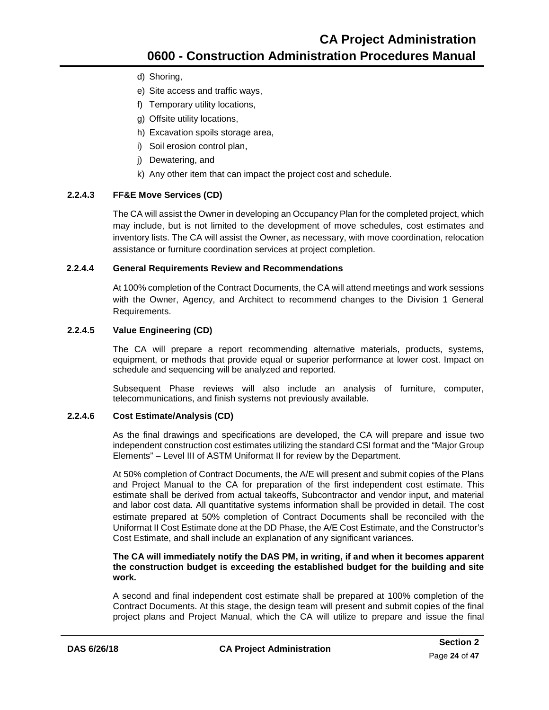- d) Shoring,
- e) Site access and traffic ways,
- f) Temporary utility locations,
- g) Offsite utility locations,
- h) Excavation spoils storage area,
- i) Soil erosion control plan,
- j) Dewatering, and
- k) Any other item that can impact the project cost and schedule.

#### **2.2.4.3 FF&E Move Services (CD)**

<span id="page-27-0"></span>The CA will assist the Owner in developing an Occupancy Plan for the completed project, which may include, but is not limited to the development of move schedules, cost estimates and inventory lists. The CA will assist the Owner, as necessary, with move coordination, relocation assistance or furniture coordination services at project completion.

#### **2.2.4.4 General Requirements Review and Recommendations**

<span id="page-27-1"></span>At 100% completion of the Contract Documents, the CA will attend meetings and work sessions with the Owner, Agency, and Architect to recommend changes to the Division 1 General Requirements.

#### **2.2.4.5 Value Engineering (CD)**

<span id="page-27-2"></span>The CA will prepare a report recommending alternative materials, products, systems, equipment, or methods that provide equal or superior performance at lower cost. Impact on schedule and sequencing will be analyzed and reported.

Subsequent Phase reviews will also include an analysis of furniture, computer, telecommunications, and finish systems not previously available.

#### **2.2.4.6 Cost Estimate/Analysis (CD)**

<span id="page-27-3"></span>As the final drawings and specifications are developed, the CA will prepare and issue two independent construction cost estimates utilizing the standard CSI format and the "Major Group Elements" – Level III of ASTM Uniformat II for review by the Department.

At 50% completion of Contract Documents, the A/E will present and submit copies of the Plans and Project Manual to the CA for preparation of the first independent cost estimate. This estimate shall be derived from actual takeoffs, Subcontractor and vendor input, and material and labor cost data. All quantitative systems information shall be provided in detail. The cost estimate prepared at 50% completion of Contract Documents shall be reconciled with the Uniformat II Cost Estimate done at the DD Phase, the A/E Cost Estimate, and the Constructor's Cost Estimate, and shall include an explanation of any significant variances.

#### **The CA will immediately notify the DAS PM, in writing, if and when it becomes apparent the construction budget is exceeding the established budget for the building and site work.**

A second and final independent cost estimate shall be prepared at 100% completion of the Contract Documents. At this stage, the design team will present and submit copies of the final project plans and Project Manual, which the CA will utilize to prepare and issue the final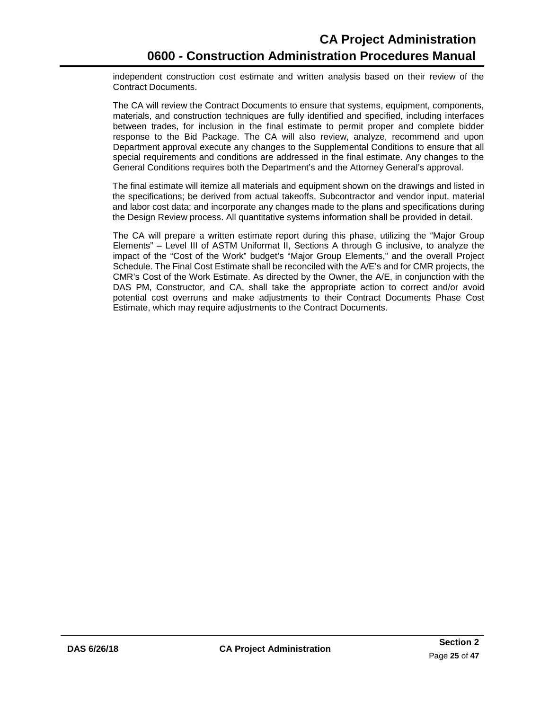independent construction cost estimate and written analysis based on their review of the Contract Documents.

The CA will review the Contract Documents to ensure that systems, equipment, components, materials, and construction techniques are fully identified and specified, including interfaces between trades, for inclusion in the final estimate to permit proper and complete bidder response to the Bid Package. The CA will also review, analyze, recommend and upon Department approval execute any changes to the Supplemental Conditions to ensure that all special requirements and conditions are addressed in the final estimate. Any changes to the General Conditions requires both the Department's and the Attorney General's approval.

The final estimate will itemize all materials and equipment shown on the drawings and listed in the specifications; be derived from actual takeoffs, Subcontractor and vendor input, material and labor cost data; and incorporate any changes made to the plans and specifications during the Design Review process. All quantitative systems information shall be provided in detail.

The CA will prepare a written estimate report during this phase, utilizing the "Major Group Elements" – Level III of ASTM Uniformat II, Sections A through G inclusive, to analyze the impact of the "Cost of the Work" budget's "Major Group Elements," and the overall Project Schedule. The Final Cost Estimate shall be reconciled with the A/E's and for CMR projects, the CMR's Cost of the Work Estimate. As directed by the Owner, the A/E, in conjunction with the DAS PM, Constructor, and CA, shall take the appropriate action to correct and/or avoid potential cost overruns and make adjustments to their Contract Documents Phase Cost Estimate, which may require adjustments to the Contract Documents.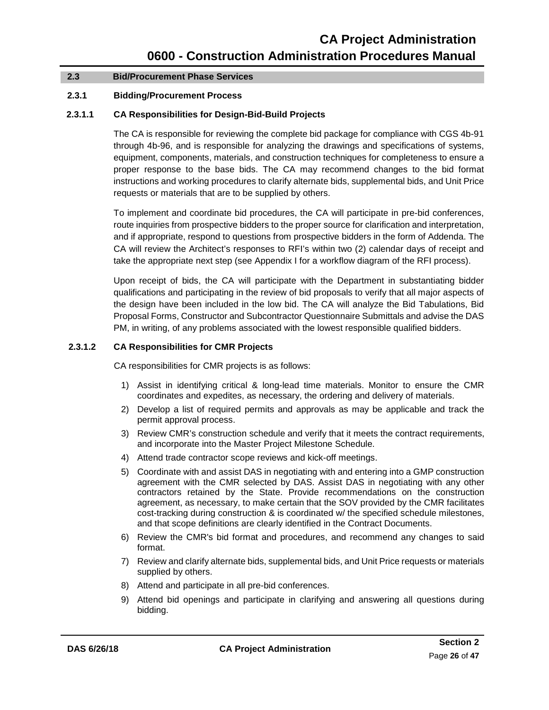#### <span id="page-29-0"></span>**2.3 Bid/Procurement Phase Services**

#### **2.3.1 Bidding/Procurement Process**

#### **2.3.1.1 CA Responsibilities for Design-Bid-Build Projects**

<span id="page-29-1"></span>The CA is responsible for reviewing the complete bid package for compliance with CGS 4b-91 through 4b-96, and is responsible for analyzing the drawings and specifications of systems, equipment, components, materials, and construction techniques for completeness to ensure a proper response to the base bids. The CA may recommend changes to the bid format instructions and working procedures to clarify alternate bids, supplemental bids, and Unit Price requests or materials that are to be supplied by others.

To implement and coordinate bid procedures, the CA will participate in pre-bid conferences, route inquiries from prospective bidders to the proper source for clarification and interpretation, and if appropriate, respond to questions from prospective bidders in the form of Addenda. The CA will review the Architect's responses to RFI's within two (2) calendar days of receipt and take the appropriate next step (see Appendix I for a workflow diagram of the RFI process).

Upon receipt of bids, the CA will participate with the Department in substantiating bidder qualifications and participating in the review of bid proposals to verify that all major aspects of the design have been included in the low bid. The CA will analyze the Bid Tabulations, Bid Proposal Forms, Constructor and Subcontractor Questionnaire Submittals and advise the DAS PM, in writing, of any problems associated with the lowest responsible qualified bidders.

#### <span id="page-29-2"></span>**2.3.1.2 CA Responsibilities for CMR Projects**

CA responsibilities for CMR projects is as follows:

- 1) Assist in identifying critical & long-lead time materials. Monitor to ensure the CMR coordinates and expedites, as necessary, the ordering and delivery of materials.
- 2) Develop a list of required permits and approvals as may be applicable and track the permit approval process.
- 3) Review CMR's construction schedule and verify that it meets the contract requirements, and incorporate into the Master Project Milestone Schedule.
- 4) Attend trade contractor scope reviews and kick-off meetings.
- 5) Coordinate with and assist DAS in negotiating with and entering into a GMP construction agreement with the CMR selected by DAS. Assist DAS in negotiating with any other contractors retained by the State. Provide recommendations on the construction agreement, as necessary, to make certain that the SOV provided by the CMR facilitates cost-tracking during construction & is coordinated w/ the specified schedule milestones, and that scope definitions are clearly identified in the Contract Documents.
- 6) Review the CMR's bid format and procedures, and recommend any changes to said format.
- 7) Review and clarify alternate bids, supplemental bids, and Unit Price requests or materials supplied by others.
- 8) Attend and participate in all pre-bid conferences.
- 9) Attend bid openings and participate in clarifying and answering all questions during bidding.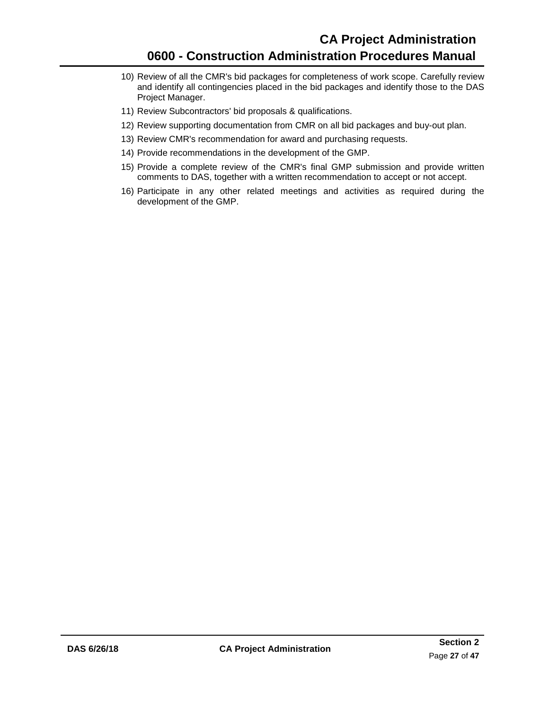- 10) Review of all the CMR's bid packages for completeness of work scope. Carefully review and identify all contingencies placed in the bid packages and identify those to the DAS Project Manager.
- 11) Review Subcontractors' bid proposals & qualifications.
- 12) Review supporting documentation from CMR on all bid packages and buy-out plan.
- 13) Review CMR's recommendation for award and purchasing requests.
- 14) Provide recommendations in the development of the GMP.
- 15) Provide a complete review of the CMR's final GMP submission and provide written comments to DAS, together with a written recommendation to accept or not accept.
- 16) Participate in any other related meetings and activities as required during the development of the GMP.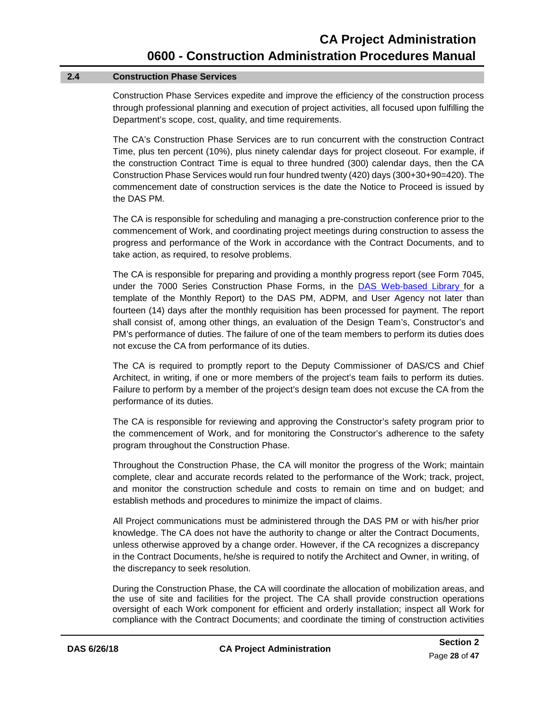#### **2.4 Construction Phase Services**

<span id="page-31-0"></span>Construction Phase Services expedite and improve the efficiency of the construction process through professional planning and execution of project activities, all focused upon fulfilling the Department's scope, cost, quality, and time requirements.

The CA's Construction Phase Services are to run concurrent with the construction Contract Time, plus ten percent (10%), plus ninety calendar days for project closeout. For example, if the construction Contract Time is equal to three hundred (300) calendar days, then the CA Construction Phase Services would run four hundred twenty (420) days (300+30+90=420). The commencement date of construction services is the date the Notice to Proceed is issued by the DAS PM.

The CA is responsible for scheduling and managing a pre-construction conference prior to the commencement of Work, and coordinating project meetings during construction to assess the progress and performance of the Work in accordance with the Contract Documents, and to take action, as required, to resolve problems.

The CA is responsible for preparing and providing a monthly progress report (see Form 7045, under the 7000 Series Construction Phase Forms, in the DAS [Web-based Library](https://portal.ct.gov/DAS/Lists/DAS-Construction-Services-Library) for a template of the Monthly Report) to the DAS PM, ADPM, and User Agency not later than fourteen (14) days after the monthly requisition has been processed for payment. The report shall consist of, among other things, an evaluation of the Design Team's, Constructor's and PM's performance of duties. The failure of one of the team members to perform its duties does not excuse the CA from performance of its duties.

The CA is required to promptly report to the Deputy Commissioner of DAS/CS and Chief Architect, in writing, if one or more members of the project's team fails to perform its duties. Failure to perform by a member of the project's design team does not excuse the CA from the performance of its duties.

The CA is responsible for reviewing and approving the Constructor's safety program prior to the commencement of Work, and for monitoring the Constructor's adherence to the safety program throughout the Construction Phase.

Throughout the Construction Phase, the CA will monitor the progress of the Work; maintain complete, clear and accurate records related to the performance of the Work; track, project, and monitor the construction schedule and costs to remain on time and on budget; and establish methods and procedures to minimize the impact of claims.

All Project communications must be administered through the DAS PM or with his/her prior knowledge. The CA does not have the authority to change or alter the Contract Documents, unless otherwise approved by a change order. However, if the CA recognizes a discrepancy in the Contract Documents, he/she is required to notify the Architect and Owner, in writing, of the discrepancy to seek resolution.

During the Construction Phase, the CA will coordinate the allocation of mobilization areas, and the use of site and facilities for the project. The CA shall provide construction operations oversight of each Work component for efficient and orderly installation; inspect all Work for compliance with the Contract Documents; and coordinate the timing of construction activities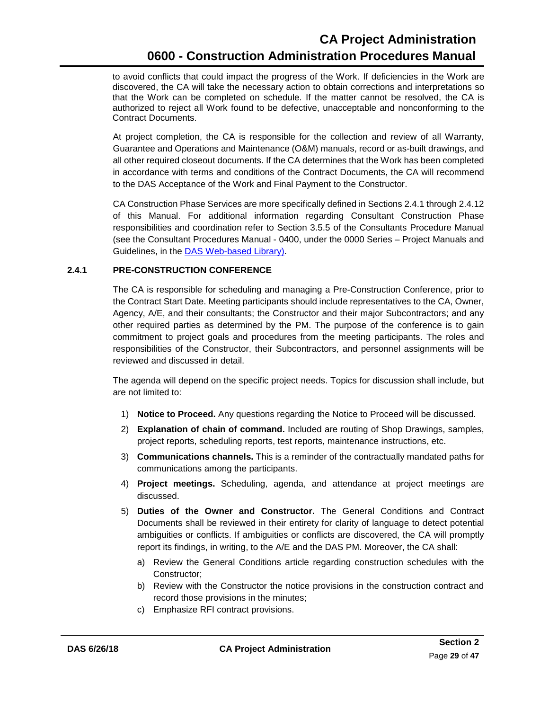to avoid conflicts that could impact the progress of the Work. If deficiencies in the Work are discovered, the CA will take the necessary action to obtain corrections and interpretations so that the Work can be completed on schedule. If the matter cannot be resolved, the CA is authorized to reject all Work found to be defective, unacceptable and nonconforming to the Contract Documents.

At project completion, the CA is responsible for the collection and review of all Warranty, Guarantee and Operations and Maintenance (O&M) manuals, record or as-built drawings, and all other required closeout documents. If the CA determines that the Work has been completed in accordance with terms and conditions of the Contract Documents, the CA will recommend to the DAS Acceptance of the Work and Final Payment to the Constructor.

CA Construction Phase Services are more specifically defined in [Sections 2.4.1 through 2.4.12](#page-31-0) of this Manual. For additional information regarding Consultant Construction Phase responsibilities and coordination refer to Section 3.5.5 of the Consultants Procedure Manual (see the Consultant Procedures Manual - 0400, under the 0000 Series – Project Manuals and Guidelines, in the **DAS Web-based Library**).

#### <span id="page-32-0"></span>**2.4.1 PRE-CONSTRUCTION CONFERENCE**

The CA is responsible for scheduling and managing a Pre-Construction Conference, prior to the Contract Start Date. Meeting participants should include representatives to the CA, Owner, Agency, A/E, and their consultants; the Constructor and their major Subcontractors; and any other required parties as determined by the PM. The purpose of the conference is to gain commitment to project goals and procedures from the meeting participants. The roles and responsibilities of the Constructor, their Subcontractors, and personnel assignments will be reviewed and discussed in detail.

The agenda will depend on the specific project needs. Topics for discussion shall include, but are not limited to:

- 1) **Notice to Proceed.** Any questions regarding the Notice to Proceed will be discussed.
- 2) **Explanation of chain of command.** Included are routing of Shop Drawings, samples, project reports, scheduling reports, test reports, maintenance instructions, etc.
- 3) **Communications channels.** This is a reminder of the contractually mandated paths for communications among the participants.
- 4) **Project meetings.** Scheduling, agenda, and attendance at project meetings are discussed.
- 5) **Duties of the Owner and Constructor.** The General Conditions and Contract Documents shall be reviewed in their entirety for clarity of language to detect potential ambiguities or conflicts. If ambiguities or conflicts are discovered, the CA will promptly report its findings, in writing, to the A/E and the DAS PM. Moreover, the CA shall:
	- a) Review the General Conditions article regarding construction schedules with the Constructor;
	- b) Review with the Constructor the notice provisions in the construction contract and record those provisions in the minutes;
	- c) Emphasize RFI contract provisions.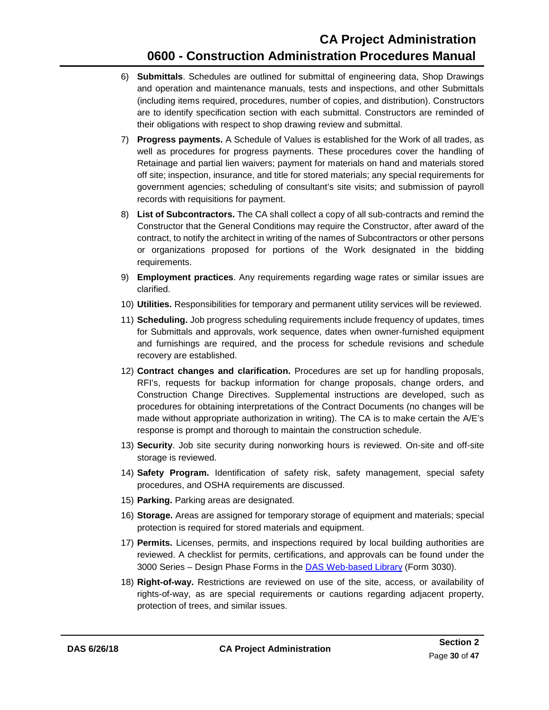- 6) **Submittals**. Schedules are outlined for submittal of engineering data, Shop Drawings and operation and maintenance manuals, tests and inspections, and other Submittals (including items required, procedures, number of copies, and distribution). Constructors are to identify specification section with each submittal. Constructors are reminded of their obligations with respect to shop drawing review and submittal.
- 7) **Progress payments.** A Schedule of Values is established for the Work of all trades, as well as procedures for progress payments. These procedures cover the handling of Retainage and partial lien waivers; payment for materials on hand and materials stored off site; inspection, insurance, and title for stored materials; any special requirements for government agencies; scheduling of consultant's site visits; and submission of payroll records with requisitions for payment.
- 8) **List of Subcontractors.** The CA shall collect a copy of all sub-contracts and remind the Constructor that the General Conditions may require the Constructor, after award of the contract, to notify the architect in writing of the names of Subcontractors or other persons or organizations proposed for portions of the Work designated in the bidding requirements.
- 9) **Employment practices**. Any requirements regarding wage rates or similar issues are clarified.
- 10) **Utilities.** Responsibilities for temporary and permanent utility services will be reviewed.
- 11) **Scheduling.** Job progress scheduling requirements include frequency of updates, times for Submittals and approvals, work sequence, dates when owner-furnished equipment and furnishings are required, and the process for schedule revisions and schedule recovery are established.
- 12) **Contract changes and clarification.** Procedures are set up for handling proposals, RFI's, requests for backup information for change proposals, change orders, and Construction Change Directives. Supplemental instructions are developed, such as procedures for obtaining interpretations of the Contract Documents (no changes will be made without appropriate authorization in writing). The CA is to make certain the  $A/E$ 's response is prompt and thorough to maintain the construction schedule.
- 13) **Security**. Job site security during nonworking hours is reviewed. On-site and off-site storage is reviewed.
- 14) **Safety Program.** Identification of safety risk, safety management, special safety procedures, and OSHA requirements are discussed.
- 15) **Parking.** Parking areas are designated.
- 16) **Storage.** Areas are assigned for temporary storage of equipment and materials; special protection is required for stored materials and equipment.
- 17) **Permits.** Licenses, permits, and inspections required by local building authorities are reviewed. A checklist for permits, certifications, and approvals can be found under the 3000 Series - Design Phase Forms in the **DAS [Web-based Library](https://portal.ct.gov/DAS/Lists/DAS-Construction-Services-Library)** (Form 3030).
- 18) **Right-of-way.** Restrictions are reviewed on use of the site, access, or availability of rights-of-way, as are special requirements or cautions regarding adjacent property, protection of trees, and similar issues.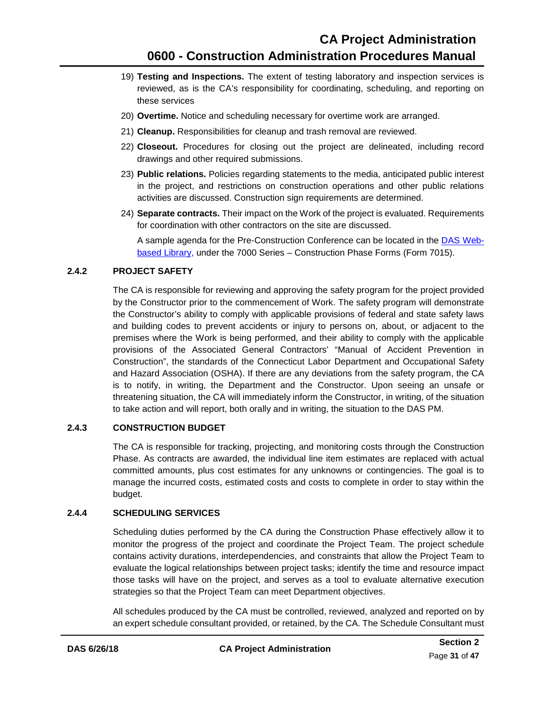- 19) **Testing and Inspections.** The extent of testing laboratory and inspection services is reviewed, as is the CA's responsibility for coordinating, scheduling, and reporting on these services
- 20) **Overtime.** Notice and scheduling necessary for overtime work are arranged.
- 21) **Cleanup.** Responsibilities for cleanup and trash removal are reviewed.
- 22) **Closeout.** Procedures for closing out the project are delineated, including record drawings and other required submissions.
- 23) **Public relations.** Policies regarding statements to the media, anticipated public interest in the project, and restrictions on construction operations and other public relations activities are discussed. Construction sign requirements are determined.
- 24) **Separate contracts.** Their impact on the Work of the project is evaluated. Requirements for coordination with other contractors on the site are discussed.

A sample agenda for the Pre-Construction Conference can be located in the DAS [Web](https://portal.ct.gov/DAS/Lists/DAS-Construction-Services-Library)[based Library,](https://portal.ct.gov/DAS/Lists/DAS-Construction-Services-Library) under the 7000 Series – Construction Phase Forms (Form 7015).

#### **2.4.2 PROJECT SAFETY**

<span id="page-34-0"></span>The CA is responsible for reviewing and approving the safety program for the project provided by the Constructor prior to the commencement of Work. The safety program will demonstrate the Constructor's ability to comply with applicable provisions of federal and state safety laws and building codes to prevent accidents or injury to persons on, about, or adjacent to the premises where the Work is being performed, and their ability to comply with the applicable provisions of the Associated General Contractors' "Manual of Accident Prevention in Construction", the standards of the Connecticut Labor Department and Occupational Safety and Hazard Association (OSHA). If there are any deviations from the safety program, the CA is to notify, in writing, the Department and the Constructor. Upon seeing an unsafe or threatening situation, the CA will immediately inform the Constructor, in writing, of the situation to take action and will report, both orally and in writing, the situation to the DAS PM.

#### **2.4.3 CONSTRUCTION BUDGET**

<span id="page-34-1"></span>The CA is responsible for tracking, projecting, and monitoring costs through the Construction Phase. As contracts are awarded, the individual line item estimates are replaced with actual committed amounts, plus cost estimates for any unknowns or contingencies. The goal is to manage the incurred costs, estimated costs and costs to complete in order to stay within the budget.

#### <span id="page-34-2"></span>**2.4.4 SCHEDULING SERVICES**

Scheduling duties performed by the CA during the Construction Phase effectively allow it to monitor the progress of the project and coordinate the Project Team. The project schedule contains activity durations, interdependencies, and constraints that allow the Project Team to evaluate the logical relationships between project tasks; identify the time and resource impact those tasks will have on the project, and serves as a tool to evaluate alternative execution strategies so that the Project Team can meet Department objectives.

All schedules produced by the CA must be controlled, reviewed, analyzed and reported on by an expert schedule consultant provided, or retained, by the CA. The Schedule Consultant must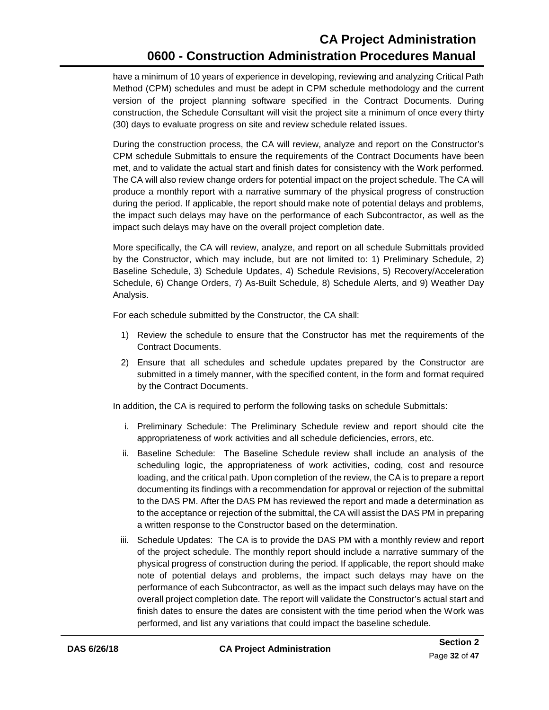have a minimum of 10 years of experience in developing, reviewing and analyzing Critical Path Method (CPM) schedules and must be adept in CPM schedule methodology and the current version of the project planning software specified in the Contract Documents. During construction, the Schedule Consultant will visit the project site a minimum of once every thirty (30) days to evaluate progress on site and review schedule related issues.

During the construction process, the CA will review, analyze and report on the Constructor's CPM schedule Submittals to ensure the requirements of the Contract Documents have been met, and to validate the actual start and finish dates for consistency with the Work performed. The CA will also review change orders for potential impact on the project schedule. The CA will produce a monthly report with a narrative summary of the physical progress of construction during the period. If applicable, the report should make note of potential delays and problems, the impact such delays may have on the performance of each Subcontractor, as well as the impact such delays may have on the overall project completion date.

More specifically, the CA will review, analyze, and report on all schedule Submittals provided by the Constructor, which may include, but are not limited to: 1) Preliminary Schedule, 2) Baseline Schedule, 3) Schedule Updates, 4) Schedule Revisions, 5) Recovery/Acceleration Schedule, 6) Change Orders, 7) As-Built Schedule, 8) Schedule Alerts, and 9) Weather Day Analysis.

For each schedule submitted by the Constructor, the CA shall:

- 1) Review the schedule to ensure that the Constructor has met the requirements of the Contract Documents.
- 2) Ensure that all schedules and schedule updates prepared by the Constructor are submitted in a timely manner, with the specified content, in the form and format required by the Contract Documents.

In addition, the CA is required to perform the following tasks on schedule Submittals:

- i. Preliminary Schedule: The Preliminary Schedule review and report should cite the appropriateness of work activities and all schedule deficiencies, errors, etc.
- ii. Baseline Schedule: The Baseline Schedule review shall include an analysis of the scheduling logic, the appropriateness of work activities, coding, cost and resource loading, and the critical path. Upon completion of the review, the CA is to prepare a report documenting its findings with a recommendation for approval or rejection of the submittal to the DAS PM. After the DAS PM has reviewed the report and made a determination as to the acceptance or rejection of the submittal, the CA will assist the DAS PM in preparing a written response to the Constructor based on the determination.
- iii. Schedule Updates: The CA is to provide the DAS PM with a monthly review and report of the project schedule. The monthly report should include a narrative summary of the physical progress of construction during the period. If applicable, the report should make note of potential delays and problems, the impact such delays may have on the performance of each Subcontractor, as well as the impact such delays may have on the overall project completion date. The report will validate the Constructor's actual start and finish dates to ensure the dates are consistent with the time period when the Work was performed, and list any variations that could impact the baseline schedule.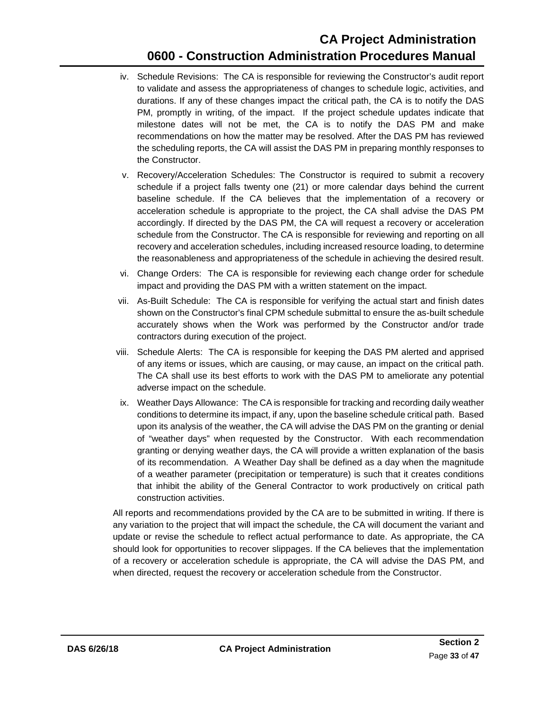- iv. Schedule Revisions: The CA is responsible for reviewing the Constructor's audit report to validate and assess the appropriateness of changes to schedule logic, activities, and durations. If any of these changes impact the critical path, the CA is to notify the DAS PM, promptly in writing, of the impact. If the project schedule updates indicate that milestone dates will not be met, the CA is to notify the DAS PM and make recommendations on how the matter may be resolved. After the DAS PM has reviewed the scheduling reports, the CA will assist the DAS PM in preparing monthly responses to the Constructor.
- v. Recovery/Acceleration Schedules: The Constructor is required to submit a recovery schedule if a project falls twenty one (21) or more calendar days behind the current baseline schedule. If the CA believes that the implementation of a recovery or acceleration schedule is appropriate to the project, the CA shall advise the DAS PM accordingly. If directed by the DAS PM, the CA will request a recovery or acceleration schedule from the Constructor. The CA is responsible for reviewing and reporting on all recovery and acceleration schedules, including increased resource loading, to determine the reasonableness and appropriateness of the schedule in achieving the desired result.
- vi. Change Orders: The CA is responsible for reviewing each change order for schedule impact and providing the DAS PM with a written statement on the impact.
- vii. As-Built Schedule: The CA is responsible for verifying the actual start and finish dates shown on the Constructor's final CPM schedule submittal to ensure the as-built schedule accurately shows when the Work was performed by the Constructor and/or trade contractors during execution of the project.
- viii. Schedule Alerts: The CA is responsible for keeping the DAS PM alerted and apprised of any items or issues, which are causing, or may cause, an impact on the critical path. The CA shall use its best efforts to work with the DAS PM to ameliorate any potential adverse impact on the schedule.
- ix. Weather Days Allowance: The CA is responsible for tracking and recording daily weather conditions to determine its impact, if any, upon the baseline schedule critical path. Based upon its analysis of the weather, the CA will advise the DAS PM on the granting or denial of "weather days" when requested by the Constructor. With each recommendation granting or denying weather days, the CA will provide a written explanation of the basis of its recommendation. A Weather Day shall be defined as a day when the magnitude of a weather parameter (precipitation or temperature) is such that it creates conditions that inhibit the ability of the General Contractor to work productively on critical path construction activities.

All reports and recommendations provided by the CA are to be submitted in writing. If there is any variation to the project that will impact the schedule, the CA will document the variant and update or revise the schedule to reflect actual performance to date. As appropriate, the CA should look for opportunities to recover slippages. If the CA believes that the implementation of a recovery or acceleration schedule is appropriate, the CA will advise the DAS PM, and when directed, request the recovery or acceleration schedule from the Constructor.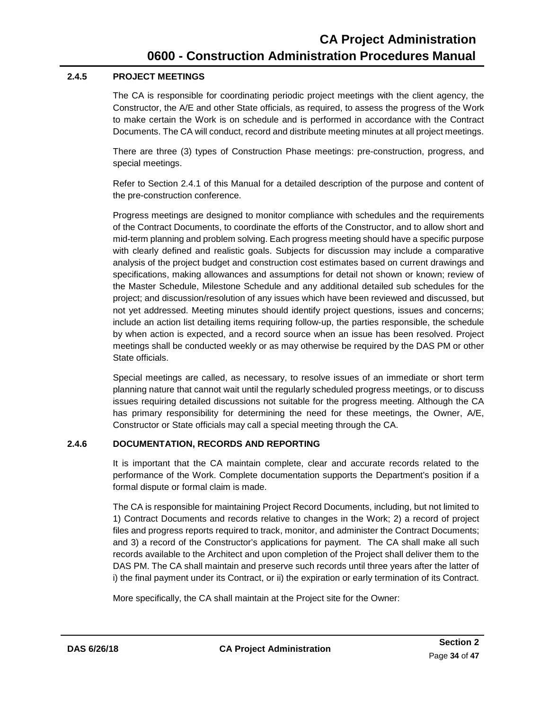#### **2.4.5 PROJECT MEETINGS**

<span id="page-37-0"></span>The CA is responsible for coordinating periodic project meetings with the client agency, the Constructor, the A/E and other State officials, as required, to assess the progress of the Work to make certain the Work is on schedule and is performed in accordance with the Contract Documents. The CA will conduct, record and distribute meeting minutes at all project meetings.

There are three (3) types of Construction Phase meetings: pre-construction, progress, and special meetings.

Refer to [Section 2.4.1](#page-32-0) of this Manual for a detailed description of the purpose and content of the pre-construction conference.

Progress meetings are designed to monitor compliance with schedules and the requirements of the Contract Documents, to coordinate the efforts of the Constructor, and to allow short and mid-term planning and problem solving. Each progress meeting should have a specific purpose with clearly defined and realistic goals. Subjects for discussion may include a comparative analysis of the project budget and construction cost estimates based on current drawings and specifications, making allowances and assumptions for detail not shown or known; review of the Master Schedule, Milestone Schedule and any additional detailed sub schedules for the project; and discussion/resolution of any issues which have been reviewed and discussed, but not yet addressed. Meeting minutes should identify project questions, issues and concerns; include an action list detailing items requiring follow-up, the parties responsible, the schedule by when action is expected, and a record source when an issue has been resolved. Project meetings shall be conducted weekly or as may otherwise be required by the DAS PM or other State officials.

Special meetings are called, as necessary, to resolve issues of an immediate or short term planning nature that cannot wait until the regularly scheduled progress meetings, or to discuss issues requiring detailed discussions not suitable for the progress meeting. Although the CA has primary responsibility for determining the need for these meetings, the Owner, A/E, Constructor or State officials may call a special meeting through the CA.

#### **2.4.6 DOCUMENTATION, RECORDS AND REPORTING**

<span id="page-37-1"></span>It is important that the CA maintain complete, clear and accurate records related to the performance of the Work. Complete documentation supports the Department's position if a formal dispute or formal claim is made.

The CA is responsible for maintaining Project Record Documents, including, but not limited to 1) Contract Documents and records relative to changes in the Work; 2) a record of project files and progress reports required to track, monitor, and administer the Contract Documents; and 3) a record of the Constructor's applications for payment. The CA shall make all such records available to the Architect and upon completion of the Project shall deliver them to the DAS PM. The CA shall maintain and preserve such records until three years after the latter of i) the final payment under its Contract, or ii) the expiration or early termination of its Contract.

More specifically, the CA shall maintain at the Project site for the Owner: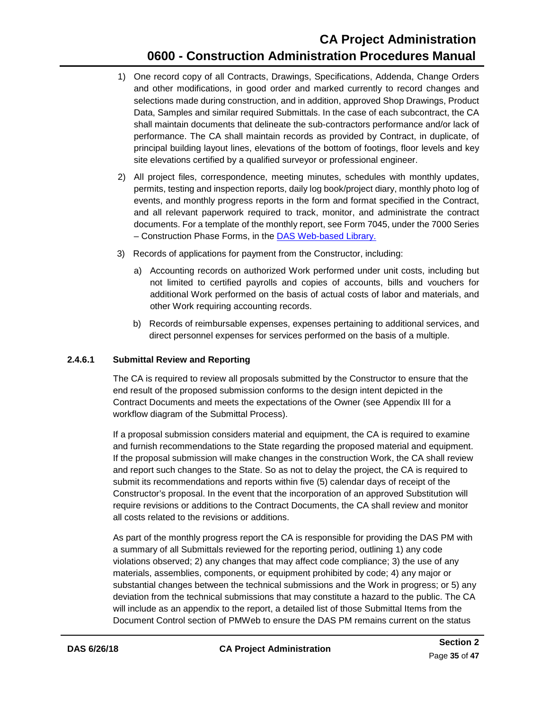- 1) One record copy of all Contracts, Drawings, Specifications, Addenda, Change Orders and other modifications, in good order and marked currently to record changes and selections made during construction, and in addition, approved Shop Drawings, Product Data, Samples and similar required Submittals. In the case of each subcontract, the CA shall maintain documents that delineate the sub-contractors performance and/or lack of performance. The CA shall maintain records as provided by Contract, in duplicate, of principal building layout lines, elevations of the bottom of footings, floor levels and key site elevations certified by a qualified surveyor or professional engineer.
- 2) All project files, correspondence, meeting minutes, schedules with monthly updates, permits, testing and inspection reports, daily log book/project diary, monthly photo log of events, and monthly progress reports in the form and format specified in the Contract, and all relevant paperwork required to track, monitor, and administrate the contract documents. For a template of the monthly report, see Form 7045, under the 7000 Series – Construction Phase Forms, in the DAS [Web-based Library.](https://portal.ct.gov/DAS/Lists/DAS-Construction-Services-Library)
- 3) Records of applications for payment from the Constructor, including:
	- a) Accounting records on authorized Work performed under unit costs, including but not limited to certified payrolls and copies of accounts, bills and vouchers for additional Work performed on the basis of actual costs of labor and materials, and other Work requiring accounting records.
	- b) Records of reimbursable expenses, expenses pertaining to additional services, and direct personnel expenses for services performed on the basis of a multiple.

#### **2.4.6.1 Submittal Review and Reporting**

<span id="page-38-0"></span>The CA is required to review all proposals submitted by the Constructor to ensure that the end result of the proposed submission conforms to the design intent depicted in the Contract Documents and meets the expectations of the Owner (see [Appendix](#page-56-0) III for a workflow diagram of the Submittal Process).

If a proposal submission considers material and equipment, the CA is required to examine and furnish recommendations to the State regarding the proposed material and equipment. If the proposal submission will make changes in the construction Work, the CA shall review and report such changes to the State. So as not to delay the project, the CA is required to submit its recommendations and reports within five (5) calendar days of receipt of the Constructor's proposal. In the event that the incorporation of an approved Substitution will require revisions or additions to the Contract Documents, the CA shall review and monitor all costs related to the revisions or additions.

As part of the monthly progress report the CA is responsible for providing the DAS PM with a summary of all Submittals reviewed for the reporting period, outlining 1) any code violations observed; 2) any changes that may affect code compliance; 3) the use of any materials, assemblies, components, or equipment prohibited by code; 4) any major or substantial changes between the technical submissions and the Work in progress; or 5) any deviation from the technical submissions that may constitute a hazard to the public. The CA will include as an appendix to the report, a detailed list of those Submittal Items from the Document Control section of PMWeb to ensure the DAS PM remains current on the status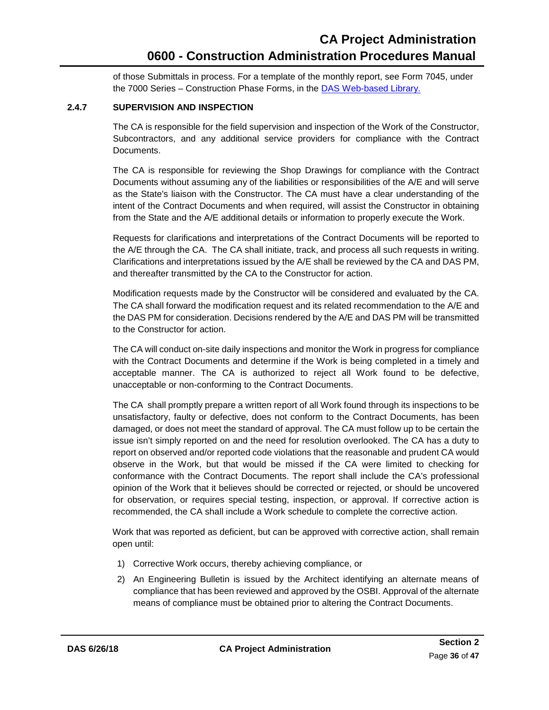of those Submittals in process. For a template of the monthly report, see Form 7045, under the 7000 Series – Construction Phase Forms, in the DAS [Web-based Library.](https://portal.ct.gov/DAS/Lists/DAS-Construction-Services-Library)

#### **2.4.7 SUPERVISION AND INSPECTION**

<span id="page-39-0"></span>The CA is responsible for the field supervision and inspection of the Work of the Constructor, Subcontractors, and any additional service providers for compliance with the Contract Documents.

The CA is responsible for reviewing the Shop Drawings for compliance with the Contract Documents without assuming any of the liabilities or responsibilities of the A/E and will serve as the State's liaison with the Constructor. The CA must have a clear understanding of the intent of the Contract Documents and when required, will assist the Constructor in obtaining from the State and the A/E additional details or information to properly execute the Work.

Requests for clarifications and interpretations of the Contract Documents will be reported to the A/E through the CA. The CA shall initiate, track, and process all such requests in writing. Clarifications and interpretations issued by the A/E shall be reviewed by the CA and DAS PM, and thereafter transmitted by the CA to the Constructor for action.

Modification requests made by the Constructor will be considered and evaluated by the CA. The CA shall forward the modification request and its related recommendation to the A/E and the DAS PM for consideration. Decisions rendered by the A/E and DAS PM will be transmitted to the Constructor for action.

The CA will conduct on-site daily inspections and monitor the Work in progress for compliance with the Contract Documents and determine if the Work is being completed in a timely and acceptable manner. The CA is authorized to reject all Work found to be defective, unacceptable or non-conforming to the Contract Documents.

The CA shall promptly prepare a written report of all Work found through its inspections to be unsatisfactory, faulty or defective, does not conform to the Contract Documents, has been damaged, or does not meet the standard of approval. The CA must follow up to be certain the issue isn't simply reported on and the need for resolution overlooked. The CA has a duty to report on observed and/or reported code violations that the reasonable and prudent CA would observe in the Work, but that would be missed if the CA were limited to checking for conformance with the Contract Documents. The report shall include the CA's professional opinion of the Work that it believes should be corrected or rejected, or should be uncovered for observation, or requires special testing, inspection, or approval. If corrective action is recommended, the CA shall include a Work schedule to complete the corrective action.

Work that was reported as deficient, but can be approved with corrective action, shall remain open until:

- 1) Corrective Work occurs, thereby achieving compliance, or
- 2) An Engineering Bulletin is issued by the Architect identifying an alternate means of compliance that has been reviewed and approved by the OSBI. Approval of the alternate means of compliance must be obtained prior to altering the Contract Documents.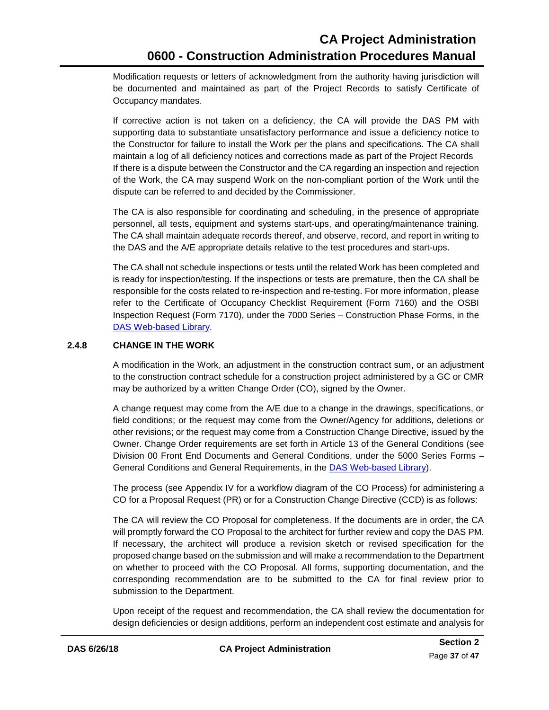Modification requests or letters of acknowledgment from the authority having jurisdiction will be documented and maintained as part of the Project Records to satisfy Certificate of Occupancy mandates.

If corrective action is not taken on a deficiency, the CA will provide the DAS PM with supporting data to substantiate unsatisfactory performance and issue a deficiency notice to the Constructor for failure to install the Work per the plans and specifications. The CA shall maintain a log of all deficiency notices and corrections made as part of the Project Records If there is a dispute between the Constructor and the CA regarding an inspection and rejection of the Work, the CA may suspend Work on the non-compliant portion of the Work until the dispute can be referred to and decided by the Commissioner.

The CA is also responsible for coordinating and scheduling, in the presence of appropriate personnel, all tests, equipment and systems start-ups, and operating/maintenance training. The CA shall maintain adequate records thereof, and observe, record, and report in writing to the DAS and the A/E appropriate details relative to the test procedures and start-ups.

The CA shall not schedule inspections or tests until the related Work has been completed and is ready for inspection/testing. If the inspections or tests are premature, then the CA shall be responsible for the costs related to re-inspection and re-testing. For more information, please refer to the Certificate of Occupancy Checklist Requirement (Form 7160) and the OSBI Inspection Request (Form 7170), under the 7000 Series – Construction Phase Forms, in the DAS [Web-based Library.](https://portal.ct.gov/DAS/Lists/DAS-Construction-Services-Library)

#### **2.4.8 CHANGE IN THE WORK**

<span id="page-40-0"></span>A modification in the Work, an adjustment in the construction contract sum, or an adjustment to the construction contract schedule for a construction project administered by a GC or CMR may be authorized by a written Change Order (CO), signed by the Owner.

A change request may come from the A/E due to a change in the drawings, specifications, or field conditions; or the request may come from the Owner/Agency for additions, deletions or other revisions; or the request may come from a Construction Change Directive, issued by the Owner. Change Order requirements are set forth in Article 13 of the General Conditions (see Division 00 Front End Documents and General Conditions, under the 5000 Series Forms – General Conditions and General Requirements, in the DAS [Web-based Library\)](https://portal.ct.gov/DAS/Lists/DAS-Construction-Services-Library).

The process (see Appendix IV for a workflow diagram of the CO Process) for administering a CO for a Proposal Request (PR) or for a Construction Change Directive (CCD) is as follows:

The CA will review the CO Proposal for completeness. If the documents are in order, the CA will promptly forward the CO Proposal to the architect for further review and copy the DAS PM. If necessary, the architect will produce a revision sketch or revised specification for the proposed change based on the submission and will make a recommendation to the Department on whether to proceed with the CO Proposal. All forms, supporting documentation, and the corresponding recommendation are to be submitted to the CA for final review prior to submission to the Department.

Upon receipt of the request and recommendation, the CA shall review the documentation for design deficiencies or design additions, perform an independent cost estimate and analysis for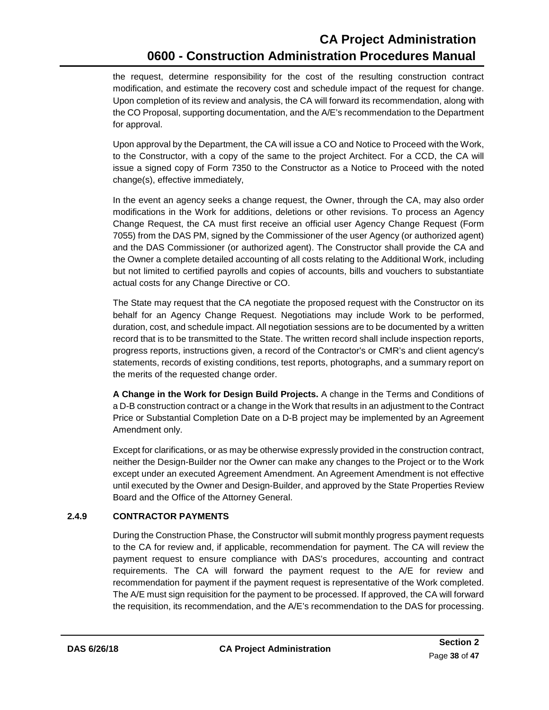the request, determine responsibility for the cost of the resulting construction contract modification, and estimate the recovery cost and schedule impact of the request for change. Upon completion of its review and analysis, the CA will forward its recommendation, along with the CO Proposal, supporting documentation, and the A/E's recommendation to the Department for approval.

Upon approval by the Department, the CA will issue a CO and Notice to Proceed with the Work, to the Constructor, with a copy of the same to the project Architect. For a CCD, the CA will issue a signed copy of Form 7350 to the Constructor as a Notice to Proceed with the noted change(s), effective immediately,

In the event an agency seeks a change request, the Owner, through the CA, may also order modifications in the Work for additions, deletions or other revisions. To process an Agency Change Request, the CA must first receive an official user Agency Change Request (Form 7055) from the DAS PM, signed by the Commissioner of the user Agency (or authorized agent) and the DAS Commissioner (or authorized agent). The Constructor shall provide the CA and the Owner a complete detailed accounting of all costs relating to the Additional Work, including but not limited to certified payrolls and copies of accounts, bills and vouchers to substantiate actual costs for any Change Directive or CO.

The State may request that the CA negotiate the proposed request with the Constructor on its behalf for an Agency Change Request. Negotiations may include Work to be performed, duration, cost, and schedule impact. All negotiation sessions are to be documented by a written record that is to be transmitted to the State. The written record shall include inspection reports, progress reports, instructions given, a record of the Contractor's or CMR's and client agency's statements, records of existing conditions, test reports, photographs, and a summary report on the merits of the requested change order.

**A Change in the Work for Design Build Projects.** A change in the Terms and Conditions of a D-B construction contract or a change in the Work that results in an adjustment to the Contract Price or Substantial Completion Date on a D-B project may be implemented by an Agreement Amendment only.

Except for clarifications, or as may be otherwise expressly provided in the construction contract, neither the Design-Builder nor the Owner can make any changes to the Project or to the Work except under an executed Agreement Amendment. An Agreement Amendment is not effective until executed by the Owner and Design-Builder, and approved by the State Properties Review Board and the Office of the Attorney General.

#### **2.4.9 CONTRACTOR PAYMENTS**

<span id="page-41-0"></span>During the Construction Phase, the Constructor will submit monthly progress payment requests to the CA for review and, if applicable, recommendation for payment. The CA will review the payment request to ensure compliance with DAS's procedures, accounting and contract requirements. The CA will forward the payment request to the A/E for review and recommendation for payment if the payment request is representative of the Work completed. The A/E must sign requisition for the payment to be processed. If approved, the CA will forward the requisition, its recommendation, and the A/E's recommendation to the DAS for processing.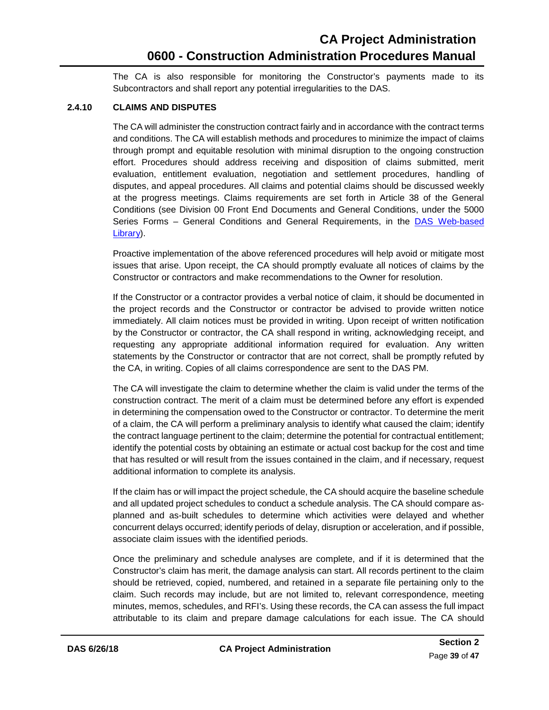The CA is also responsible for monitoring the Constructor's payments made to its Subcontractors and shall report any potential irregularities to the DAS.

#### <span id="page-42-0"></span>**2.4.10 CLAIMS AND DISPUTES**

The CA will administer the construction contract fairly and in accordance with the contract terms and conditions. The CA will establish methods and procedures to minimize the impact of claims through prompt and equitable resolution with minimal disruption to the ongoing construction effort. Procedures should address receiving and disposition of claims submitted, merit evaluation, entitlement evaluation, negotiation and settlement procedures, handling of disputes, and appeal procedures. All claims and potential claims should be discussed weekly at the progress meetings. Claims requirements are set forth in Article 38 of the General Conditions (see Division 00 Front End Documents and General Conditions, under the 5000 Series Forms - General Conditions and General Requirements, in the DAS Web-based [Library\)](https://portal.ct.gov/DAS/Lists/DAS-Construction-Services-Library).

Proactive implementation of the above referenced procedures will help avoid or mitigate most issues that arise. Upon receipt, the CA should promptly evaluate all notices of claims by the Constructor or contractors and make recommendations to the Owner for resolution.

If the Constructor or a contractor provides a verbal notice of claim, it should be documented in the project records and the Constructor or contractor be advised to provide written notice immediately. All claim notices must be provided in writing. Upon receipt of written notification by the Constructor or contractor, the CA shall respond in writing, acknowledging receipt, and requesting any appropriate additional information required for evaluation. Any written statements by the Constructor or contractor that are not correct, shall be promptly refuted by the CA, in writing. Copies of all claims correspondence are sent to the DAS PM.

The CA will investigate the claim to determine whether the claim is valid under the terms of the construction contract. The merit of a claim must be determined before any effort is expended in determining the compensation owed to the Constructor or contractor. To determine the merit of a claim, the CA will perform a preliminary analysis to identify what caused the claim; identify the contract language pertinent to the claim; determine the potential for contractual entitlement; identify the potential costs by obtaining an estimate or actual cost backup for the cost and time that has resulted or will result from the issues contained in the claim, and if necessary, request additional information to complete its analysis.

If the claim has or will impact the project schedule, the CA should acquire the baseline schedule and all updated project schedules to conduct a schedule analysis. The CA should compare asplanned and as-built schedules to determine which activities were delayed and whether concurrent delays occurred; identify periods of delay, disruption or acceleration, and if possible, associate claim issues with the identified periods.

Once the preliminary and schedule analyses are complete, and if it is determined that the Constructor's claim has merit, the damage analysis can start. All records pertinent to the claim should be retrieved, copied, numbered, and retained in a separate file pertaining only to the claim. Such records may include, but are not limited to, relevant correspondence, meeting minutes, memos, schedules, and RFI's. Using these records, the CA can assess the full impact attributable to its claim and prepare damage calculations for each issue. The CA should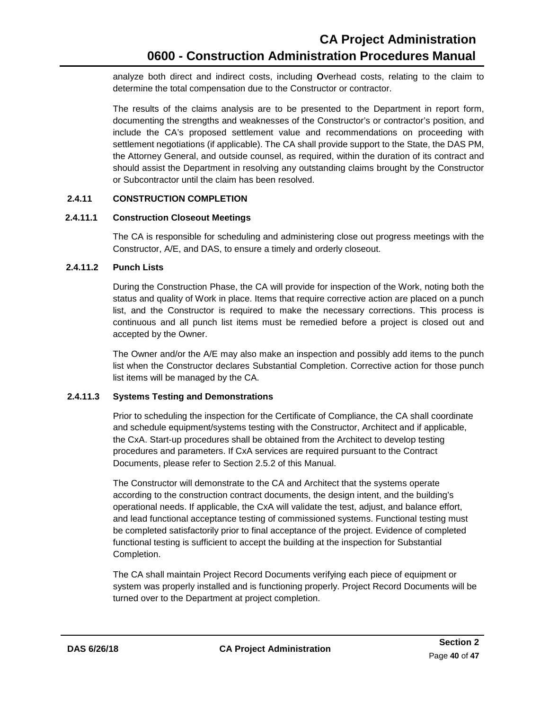analyze both direct and indirect costs, including **O**verhead costs, relating to the claim to determine the total compensation due to the Constructor or contractor.

The results of the claims analysis are to be presented to the Department in report form, documenting the strengths and weaknesses of the Constructor's or contractor's position, and include the CA's proposed settlement value and recommendations on proceeding with settlement negotiations (if applicable). The CA shall provide support to the State, the DAS PM, the Attorney General, and outside counsel, as required, within the duration of its contract and should assist the Department in resolving any outstanding claims brought by the Constructor or Subcontractor until the claim has been resolved.

#### **2.4.11 CONSTRUCTION COMPLETION**

#### **2.4.11.1 Construction Closeout Meetings**

<span id="page-43-0"></span>The CA is responsible for scheduling and administering close out progress meetings with the Constructor, A/E, and DAS, to ensure a timely and orderly closeout.

#### <span id="page-43-1"></span>**2.4.11.2 Punch Lists**

During the Construction Phase, the CA will provide for inspection of the Work, noting both the status and quality of Work in place. Items that require corrective action are placed on a punch list, and the Constructor is required to make the necessary corrections. This process is continuous and all punch list items must be remedied before a project is closed out and accepted by the Owner.

The Owner and/or the A/E may also make an inspection and possibly add items to the punch list when the Constructor declares Substantial Completion. Corrective action for those punch list items will be managed by the CA.

#### **2.4.11.3 Systems Testing and Demonstrations**

<span id="page-43-2"></span>Prior to scheduling the inspection for the Certificate of Compliance, the CA shall coordinate and schedule equipment/systems testing with the Constructor, Architect and if applicable, the CxA. Start-up procedures shall be obtained from the Architect to develop testing procedures and parameters. If CxA services are required pursuant to the Contract Documents, please refer to [Section 2.5.2](#page-47-4) of this Manual.

The Constructor will demonstrate to the CA and Architect that the systems operate according to the construction contract documents, the design intent, and the building's operational needs. If applicable, the CxA will validate the test, adjust, and balance effort, and lead functional acceptance testing of commissioned systems. Functional testing must be completed satisfactorily prior to final acceptance of the project. Evidence of completed functional testing is sufficient to accept the building at the inspection for Substantial Completion.

The CA shall maintain Project Record Documents verifying each piece of equipment or system was properly installed and is functioning properly. Project Record Documents will be turned over to the Department at project completion.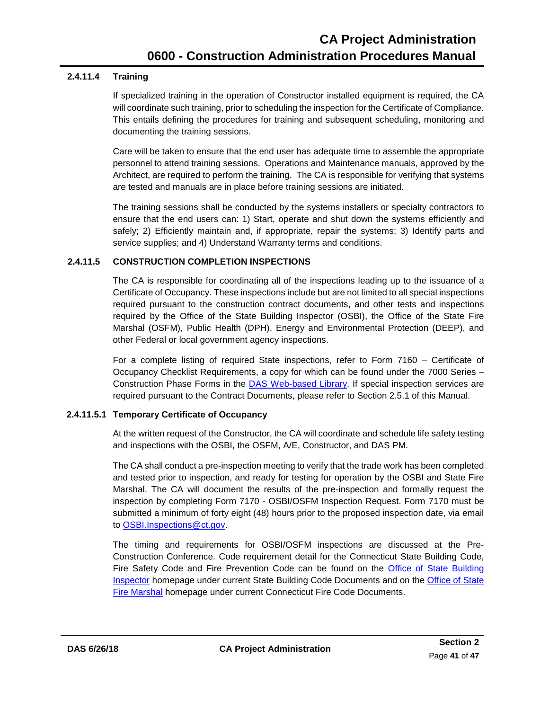#### **2.4.11.4 Training**

<span id="page-44-0"></span>If specialized training in the operation of Constructor installed equipment is required, the CA will coordinate such training, prior to scheduling the inspection for the Certificate of Compliance. This entails defining the procedures for training and subsequent scheduling, monitoring and documenting the training sessions.

Care will be taken to ensure that the end user has adequate time to assemble the appropriate personnel to attend training sessions. Operations and Maintenance manuals, approved by the Architect, are required to perform the training. The CA is responsible for verifying that systems are tested and manuals are in place before training sessions are initiated.

The training sessions shall be conducted by the systems installers or specialty contractors to ensure that the end users can: 1) Start, operate and shut down the systems efficiently and safely; 2) Efficiently maintain and, if appropriate, repair the systems; 3) Identify parts and service supplies; and 4) Understand Warranty terms and conditions.

#### **2.4.11.5 CONSTRUCTION COMPLETION INSPECTIONS**

<span id="page-44-1"></span>The CA is responsible for coordinating all of the inspections leading up to the issuance of a Certificate of Occupancy. These inspections include but are not limited to all special inspections required pursuant to the construction contract documents, and other tests and inspections required by the Office of the State Building Inspector (OSBI), the Office of the State Fire Marshal (OSFM), Public Health (DPH), Energy and Environmental Protection (DEEP), and other Federal or local government agency inspections.

For a complete listing of required State inspections, refer to Form 7160 – Certificate of Occupancy Checklist Requirements, a copy for which can be found under the 7000 Series – Construction Phase Forms in the DAS [Web-based Library.](https://portal.ct.gov/DAS/Lists/DAS-Construction-Services-Library) If special inspection services are required pursuant to the Contract Documents, please refer to [Section 2.5.1](#page-47-3) of this Manual.

#### **2.4.11.5.1 Temporary Certificate of Occupancy**

<span id="page-44-2"></span>At the written request of the Constructor, the CA will coordinate and schedule life safety testing and inspections with the OSBI, the OSFM, A/E, Constructor, and DAS PM.

The CA shall conduct a pre-inspection meeting to verify that the trade work has been completed and tested prior to inspection, and ready for testing for operation by the OSBI and State Fire Marshal. The CA will document the results of the pre-inspection and formally request the inspection by completing Form 7170 - OSBI/OSFM Inspection Request. Form 7170 must be submitted a minimum of forty eight (48) hours prior to the proposed inspection date, via email to [OSBI.Inspections@ct.gov.](mailto:OSBI.Inspections@ct.gov)

The timing and requirements for OSBI/OSFM inspections are discussed at the Pre-Construction Conference. Code requirement detail for the Connecticut State Building Code, Fire Safety Code and Fire Prevention Code can be found on the Office of State Building [Inspector](https://portal.ct.gov/DAS/Office-of-State-Building-Inspector/Office-of-State-Building-Inspector) homepage under current State Building Code Documents and on the [Office of State](https://portal.ct.gov/DAS/Office-of-State-Fire-Marshal/Office-of-State-Fire-Marshal)  [Fire Marshal](https://portal.ct.gov/DAS/Office-of-State-Fire-Marshal/Office-of-State-Fire-Marshal) homepage under current Connecticut Fire Code Documents.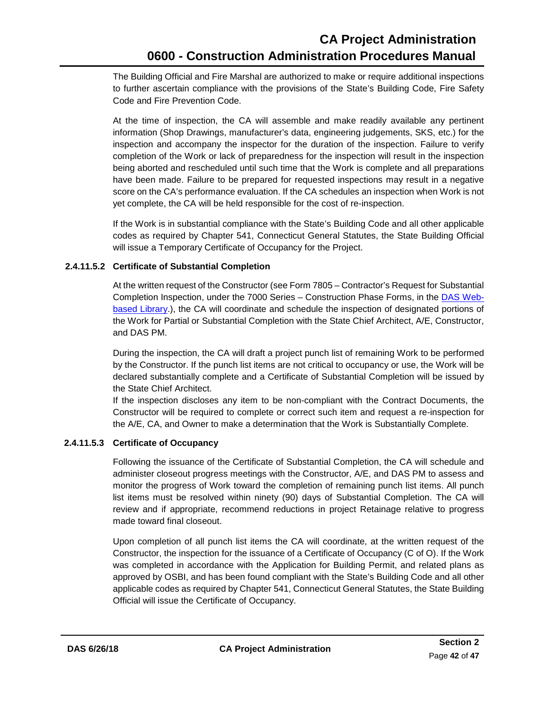The Building Official and Fire Marshal are authorized to make or require additional inspections to further ascertain compliance with the provisions of the State's Building Code, Fire Safety Code and Fire Prevention Code.

At the time of inspection, the CA will assemble and make readily available any pertinent information (Shop Drawings, manufacturer's data, engineering judgements, SKS, etc.) for the inspection and accompany the inspector for the duration of the inspection. Failure to verify completion of the Work or lack of preparedness for the inspection will result in the inspection being aborted and rescheduled until such time that the Work is complete and all preparations have been made. Failure to be prepared for requested inspections may result in a negative score on the CA's performance evaluation. If the CA schedules an inspection when Work is not yet complete, the CA will be held responsible for the cost of re-inspection.

If the Work is in substantial compliance with the State's Building Code and all other applicable codes as required by Chapter 541, Connecticut General Statutes, the State Building Official will issue a Temporary Certificate of Occupancy for the Project.

#### **2.4.11.5.2 Certificate of Substantial Completion**

<span id="page-45-0"></span>At the written request of the Constructor (see Form 7805 – Contractor's Request for Substantial Completion Inspection, under the 7000 Series – Construction Phase Forms, in the DAS [Web](https://portal.ct.gov/DAS/Lists/DAS-Construction-Services-Library)[based Library.](https://portal.ct.gov/DAS/Lists/DAS-Construction-Services-Library)), the CA will coordinate and schedule the inspection of designated portions of the Work for Partial or Substantial Completion with the State Chief Architect, A/E, Constructor, and DAS PM.

During the inspection, the CA will draft a project punch list of remaining Work to be performed by the Constructor. If the punch list items are not critical to occupancy or use, the Work will be declared substantially complete and a Certificate of Substantial Completion will be issued by the State Chief Architect.

If the inspection discloses any item to be non-compliant with the Contract Documents, the Constructor will be required to complete or correct such item and request a re-inspection for the A/E, CA, and Owner to make a determination that the Work is Substantially Complete.

#### **2.4.11.5.3 Certificate of Occupancy**

<span id="page-45-1"></span>Following the issuance of the Certificate of Substantial Completion, the CA will schedule and administer closeout progress meetings with the Constructor, A/E, and DAS PM to assess and monitor the progress of Work toward the completion of remaining punch list items. All punch list items must be resolved within ninety (90) days of Substantial Completion. The CA will review and if appropriate, recommend reductions in project Retainage relative to progress made toward final closeout.

Upon completion of all punch list items the CA will coordinate, at the written request of the Constructor, the inspection for the issuance of a Certificate of Occupancy (C of O). If the Work was completed in accordance with the Application for Building Permit, and related plans as approved by OSBI, and has been found compliant with the State's Building Code and all other applicable codes as required by Chapter 541, Connecticut General Statutes, the State Building Official will issue the Certificate of Occupancy.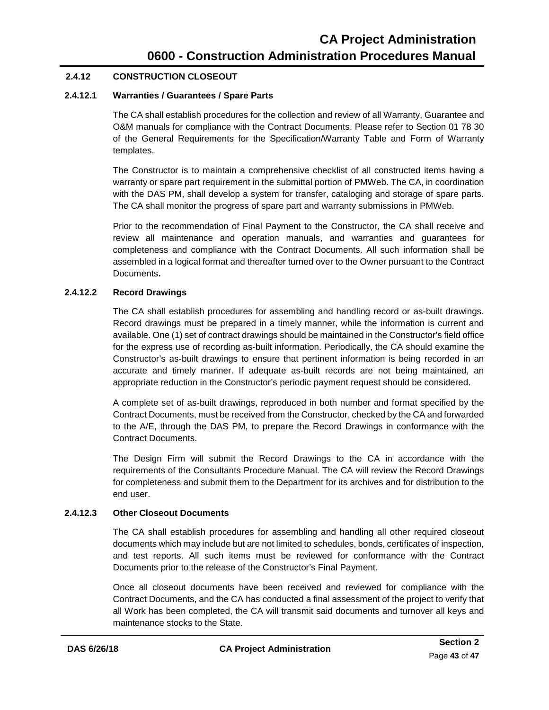#### **2.4.12 CONSTRUCTION CLOSEOUT**

#### **2.4.12.1 Warranties / Guarantees / Spare Parts**

<span id="page-46-0"></span>The CA shall establish procedures for the collection and review of all Warranty, Guarantee and O&M manuals for compliance with the Contract Documents. Please refer to Section 01 78 30 of the General Requirements for the Specification/Warranty Table and Form of Warranty templates.

The Constructor is to maintain a comprehensive checklist of all constructed items having a warranty or spare part requirement in the submittal portion of PMWeb. The CA, in coordination with the DAS PM, shall develop a system for transfer, cataloging and storage of spare parts. The CA shall monitor the progress of spare part and warranty submissions in PMWeb.

Prior to the recommendation of Final Payment to the Constructor, the CA shall receive and review all maintenance and operation manuals, and warranties and guarantees for completeness and compliance with the Contract Documents. All such information shall be assembled in a logical format and thereafter turned over to the Owner pursuant to the Contract Documents**.**

#### **2.4.12.2 Record Drawings**

<span id="page-46-1"></span>The CA shall establish procedures for assembling and handling record or as-built drawings. Record drawings must be prepared in a timely manner, while the information is current and available. One (1) set of contract drawings should be maintained in the Constructor's field office for the express use of recording as-built information. Periodically, the CA should examine the Constructor's as-built drawings to ensure that pertinent information is being recorded in an accurate and timely manner. If adequate as-built records are not being maintained, an appropriate reduction in the Constructor's periodic payment request should be considered.

A complete set of as-built drawings, reproduced in both number and format specified by the Contract Documents, must be received from the Constructor, checked by the CA and forwarded to the A/E, through the DAS PM, to prepare the Record Drawings in conformance with the Contract Documents.

The Design Firm will submit the Record Drawings to the CA in accordance with the requirements of the Consultants Procedure Manual. The CA will review the Record Drawings for completeness and submit them to the Department for its archives and for distribution to the end user.

#### **2.4.12.3 Other Closeout Documents**

<span id="page-46-2"></span>The CA shall establish procedures for assembling and handling all other required closeout documents which may include but are not limited to schedules, bonds, certificates of inspection, and test reports. All such items must be reviewed for conformance with the Contract Documents prior to the release of the Constructor's Final Payment.

Once all closeout documents have been received and reviewed for compliance with the Contract Documents, and the CA has conducted a final assessment of the project to verify that all Work has been completed, the CA will transmit said documents and turnover all keys and maintenance stocks to the State.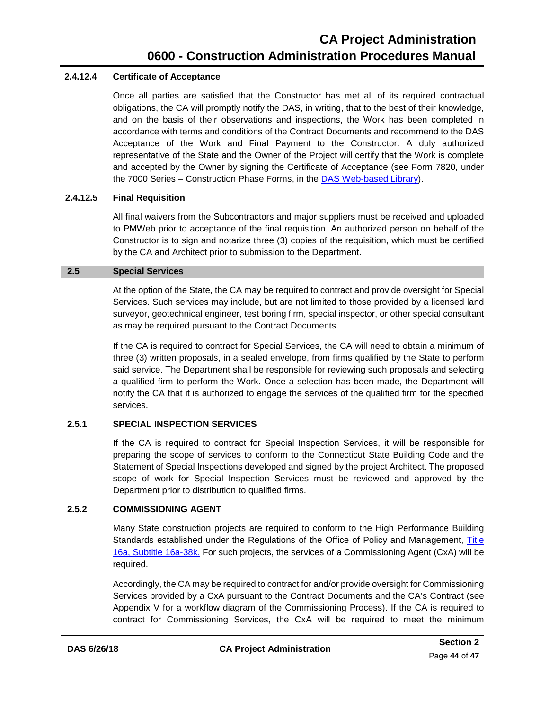#### **2.4.12.4 Certificate of Acceptance**

<span id="page-47-0"></span>Once all parties are satisfied that the Constructor has met all of its required contractual obligations, the CA will promptly notify the DAS, in writing, that to the best of their knowledge, and on the basis of their observations and inspections, the Work has been completed in accordance with terms and conditions of the Contract Documents and recommend to the DAS Acceptance of the Work and Final Payment to the Constructor. A duly authorized representative of the State and the Owner of the Project will certify that the Work is complete and accepted by the Owner by signing the Certificate of Acceptance (see Form 7820, under the 7000 Series – Construction Phase Forms, in the DAS [Web-based Library\)](https://portal.ct.gov/DAS/Lists/DAS-Construction-Services-Library).

#### **2.4.12.5 Final Requisition**

<span id="page-47-1"></span>All final waivers from the Subcontractors and major suppliers must be received and uploaded to PMWeb prior to acceptance of the final requisition. An authorized person on behalf of the Constructor is to sign and notarize three (3) copies of the requisition, which must be certified by the CA and Architect prior to submission to the Department.

#### **2.5 Special Services**

<span id="page-47-2"></span>At the option of the State, the CA may be required to contract and provide oversight for Special Services. Such services may include, but are not limited to those provided by a licensed land surveyor, geotechnical engineer, test boring firm, special inspector, or other special consultant as may be required pursuant to the Contract Documents.

If the CA is required to contract for Special Services, the CA will need to obtain a minimum of three (3) written proposals, in a sealed envelope, from firms qualified by the State to perform said service. The Department shall be responsible for reviewing such proposals and selecting a qualified firm to perform the Work. Once a selection has been made, the Department will notify the CA that it is authorized to engage the services of the qualified firm for the specified services.

#### <span id="page-47-3"></span>**2.5.1 SPECIAL INSPECTION SERVICES**

If the CA is required to contract for Special Inspection Services, it will be responsible for preparing the scope of services to conform to the Connecticut State Building Code and the Statement of Special Inspections developed and signed by the project Architect. The proposed scope of work for Special Inspection Services must be reviewed and approved by the Department prior to distribution to qualified firms.

#### **2.5.2 COMMISSIONING AGENT**

<span id="page-47-4"></span>Many State construction projects are required to conform to the High Performance Building Standards established under the Regulations of the Office of Policy and Management, Title [16a, Subtitle 16a-38k.](https://eregulations.ct.gov/eRegsPortal/Browse/RCSA/%7BB5BB7E5B-1EBF-4DBE-BD88-E4E09EE544DB%7D) For such projects, the services of a Commissioning Agent (CxA) will be required.

Accordingly, the CA may be required to contract for and/or provide oversight for Commissioning Services provided by a CxA pursuant to the Contract Documents and the CA's Contract (see Appendix V for a workflow diagram of the Commissioning Process). If the CA is required to contract for Commissioning Services, the CxA will be required to meet the minimum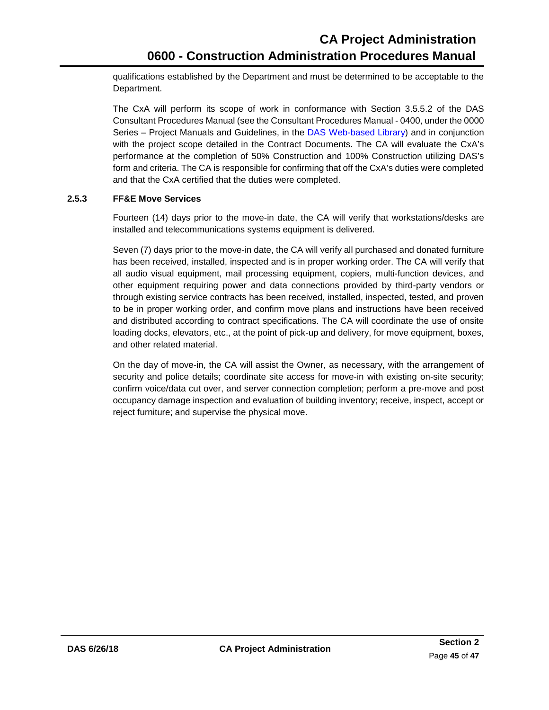qualifications established by the Department and must be determined to be acceptable to the Department.

The CxA will perform its scope of work in conformance with Section 3.5.5.2 of the DAS Consultant Procedures Manual (see the Consultant Procedures Manual - 0400, under the 0000 Series – Project Manuals and Guidelines, in the DAS [Web-based Library\)](https://portal.ct.gov/DAS/Lists/DAS-Construction-Services-Library) and in conjunction with the project scope detailed in the Contract Documents. The CA will evaluate the CxA's performance at the completion of 50% Construction and 100% Construction utilizing DAS's form and criteria. The CA is responsible for confirming that off the CxA's duties were completed and that the CxA certified that the duties were completed.

#### **2.5.3 FF&E Move Services**

<span id="page-48-0"></span>Fourteen (14) days prior to the move-in date, the CA will verify that workstations/desks are installed and telecommunications systems equipment is delivered.

Seven (7) days prior to the move-in date, the CA will verify all purchased and donated furniture has been received, installed, inspected and is in proper working order. The CA will verify that all audio visual equipment, mail processing equipment, copiers, multi-function devices, and other equipment requiring power and data connections provided by third-party vendors or through existing service contracts has been received, installed, inspected, tested, and proven to be in proper working order, and confirm move plans and instructions have been received and distributed according to contract specifications. The CA will coordinate the use of onsite loading docks, elevators, etc., at the point of pick-up and delivery, for move equipment, boxes, and other related material.

On the day of move-in, the CA will assist the Owner, as necessary, with the arrangement of security and police details; coordinate site access for move-in with existing on-site security; confirm voice/data cut over, and server connection completion; perform a pre-move and post occupancy damage inspection and evaluation of building inventory; receive, inspect, accept or reject furniture; and supervise the physical move.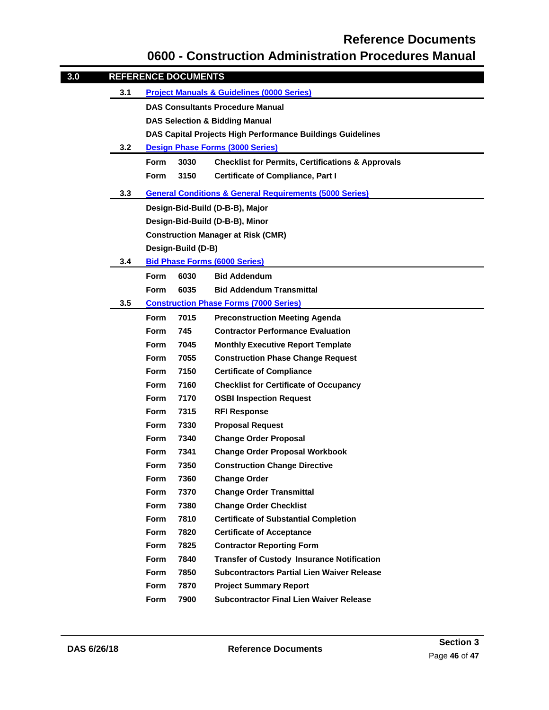### **Reference Documents**

### **0600 - Construction Administration Procedures Manual**

<span id="page-49-0"></span>

| 3.0 |     |                                                            | <b>REFERENCE DOCUMENTS</b>              |                                                                    |  |
|-----|-----|------------------------------------------------------------|-----------------------------------------|--------------------------------------------------------------------|--|
|     | 3.1 | <b>Project Manuals &amp; Guidelines (0000 Series)</b>      |                                         |                                                                    |  |
|     |     | <b>DAS Consultants Procedure Manual</b>                    |                                         |                                                                    |  |
|     |     | <b>DAS Selection &amp; Bidding Manual</b>                  |                                         |                                                                    |  |
|     |     | DAS Capital Projects High Performance Buildings Guidelines |                                         |                                                                    |  |
|     | 3.2 |                                                            | <b>Design Phase Forms (3000 Series)</b> |                                                                    |  |
|     |     | <b>Form</b>                                                | 3030                                    | <b>Checklist for Permits, Certifications &amp; Approvals</b>       |  |
|     |     | <b>Form</b>                                                | 3150                                    | <b>Certificate of Compliance, Part I</b>                           |  |
|     | 3.3 |                                                            |                                         | <b>General Conditions &amp; General Requirements (5000 Series)</b> |  |
|     |     |                                                            |                                         | Design-Bid-Build (D-B-B), Major                                    |  |
|     |     |                                                            |                                         | Design-Bid-Build (D-B-B), Minor                                    |  |
|     |     |                                                            |                                         | <b>Construction Manager at Risk (CMR)</b>                          |  |
|     |     |                                                            | Design-Build (D-B)                      |                                                                    |  |
|     | 3.4 |                                                            |                                         | <b>Bid Phase Forms (6000 Series)</b>                               |  |
|     |     | <b>Form</b>                                                | 6030                                    | <b>Bid Addendum</b>                                                |  |
|     |     | <b>Form</b>                                                | 6035                                    | <b>Bid Addendum Transmittal</b>                                    |  |
|     | 3.5 |                                                            |                                         | <b>Construction Phase Forms (7000 Series)</b>                      |  |
|     |     | <b>Form</b>                                                | 7015                                    | <b>Preconstruction Meeting Agenda</b>                              |  |
|     |     | <b>Form</b>                                                | 745                                     | <b>Contractor Performance Evaluation</b>                           |  |
|     |     | <b>Form</b>                                                | 7045                                    | <b>Monthly Executive Report Template</b>                           |  |
|     |     | <b>Form</b>                                                | 7055                                    | <b>Construction Phase Change Request</b>                           |  |
|     |     | <b>Form</b>                                                | 7150                                    | <b>Certificate of Compliance</b>                                   |  |
|     |     | <b>Form</b>                                                | 7160                                    | <b>Checklist for Certificate of Occupancy</b>                      |  |
|     |     | <b>Form</b>                                                | 7170                                    | <b>OSBI Inspection Request</b>                                     |  |
|     |     | Form                                                       | 7315                                    | <b>RFI Response</b>                                                |  |
|     |     | <b>Form</b>                                                | 7330                                    | <b>Proposal Request</b>                                            |  |
|     |     | <b>Form</b>                                                | 7340                                    | <b>Change Order Proposal</b>                                       |  |
|     |     | Form                                                       | 7341                                    | <b>Change Order Proposal Workbook</b>                              |  |
|     |     | Form                                                       | 7350                                    | <b>Construction Change Directive</b>                               |  |
|     |     | Form                                                       | 7360                                    | <b>Change Order</b>                                                |  |
|     |     | Form                                                       | 7370                                    | <b>Change Order Transmittal</b>                                    |  |
|     |     | Form                                                       | 7380                                    | <b>Change Order Checklist</b>                                      |  |
|     |     | <b>Form</b>                                                | 7810                                    | <b>Certificate of Substantial Completion</b>                       |  |
|     |     | Form                                                       | 7820                                    | <b>Certificate of Acceptance</b>                                   |  |
|     |     | Form                                                       | 7825                                    | <b>Contractor Reporting Form</b>                                   |  |
|     |     | Form                                                       | 7840                                    | <b>Transfer of Custody Insurance Notification</b>                  |  |
|     |     | <b>Form</b>                                                | 7850                                    | <b>Subcontractors Partial Lien Waiver Release</b>                  |  |
|     |     | Form                                                       | 7870                                    | <b>Project Summary Report</b>                                      |  |
|     |     | Form                                                       | 7900                                    | <b>Subcontractor Final Lien Waiver Release</b>                     |  |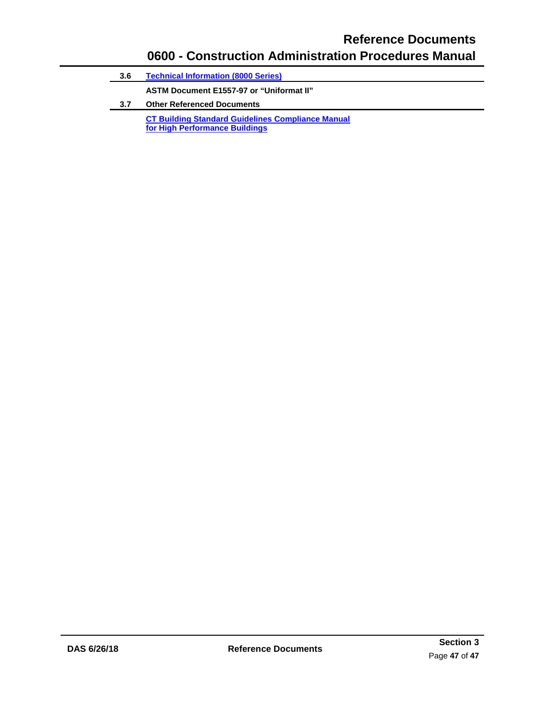### **Reference Documents 0600 - Construction Administration Procedures Manual**

| 3.6 | <b>Technical Information (8000 Series)</b>               |  |  |  |
|-----|----------------------------------------------------------|--|--|--|
|     | ASTM Document E1557-97 or "Uniformat II"                 |  |  |  |
| 3.7 | <b>Other Referenced Documents</b>                        |  |  |  |
|     | <b>CT Building Standard Guidelines Compliance Manual</b> |  |  |  |
|     | for High Performance Buildings                           |  |  |  |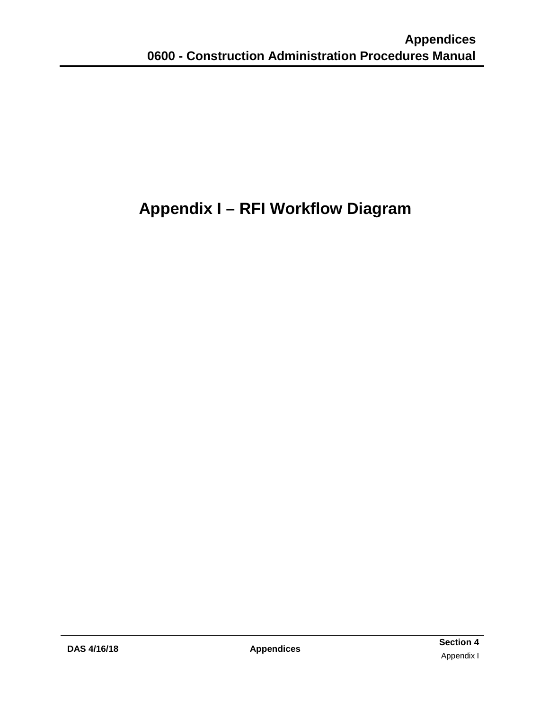# <span id="page-51-0"></span>**Appendix I – RFI Workflow Diagram**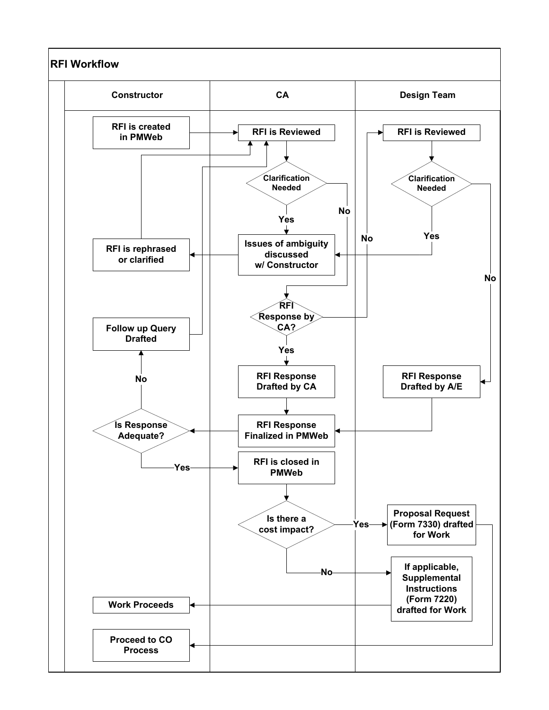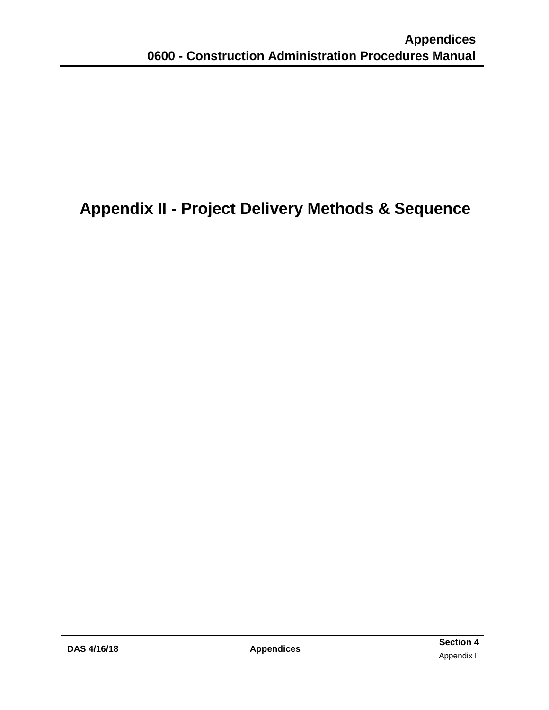## <span id="page-53-0"></span>**Appendix II - Project Delivery Methods & Sequence**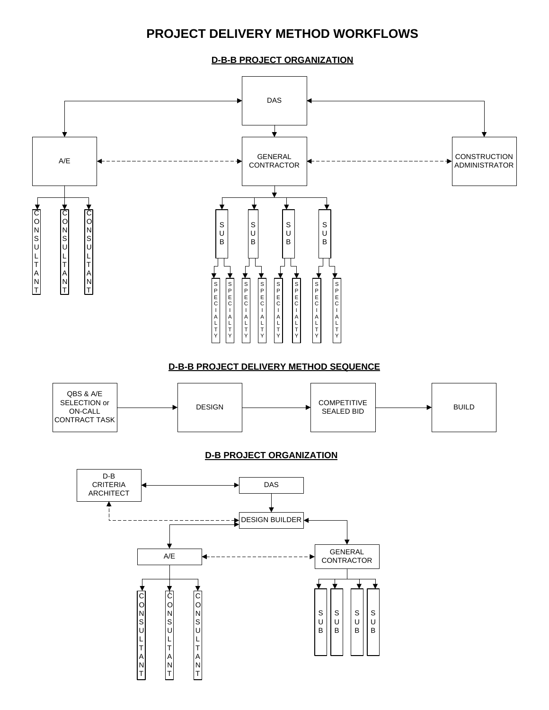### **PROJECT DELIVERY METHOD WORKFLOWS**

**D-B-B PROJECT ORGANIZATION**

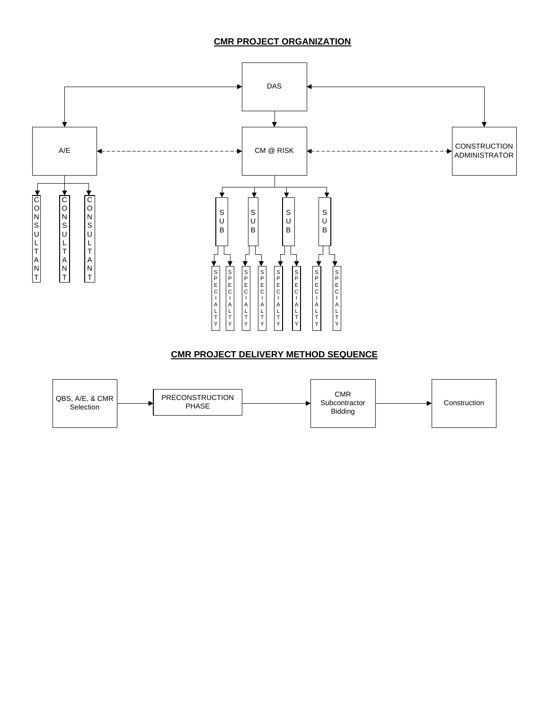#### **CMR PROJECT ORGANIZATION**

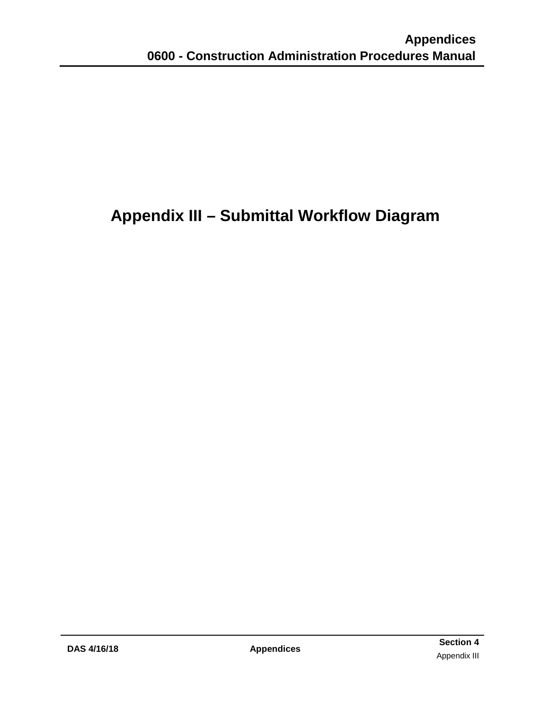# <span id="page-56-0"></span>**Appendix III – Submittal Workflow Diagram**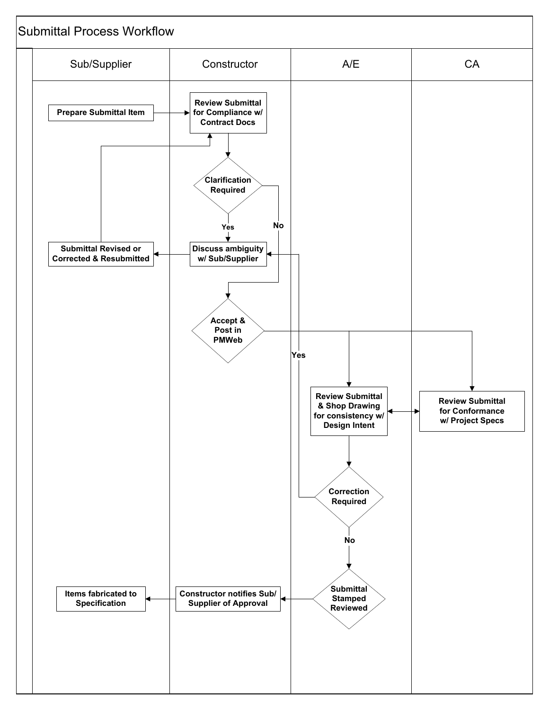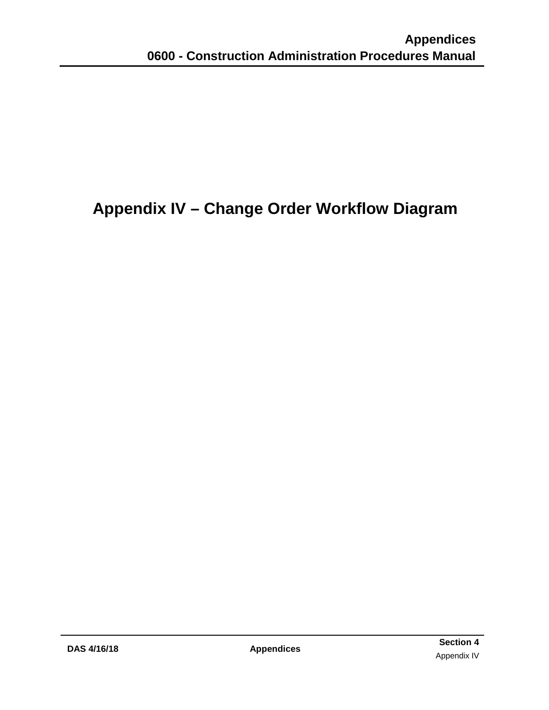## <span id="page-58-0"></span>**Appendix IV – Change Order Workflow Diagram**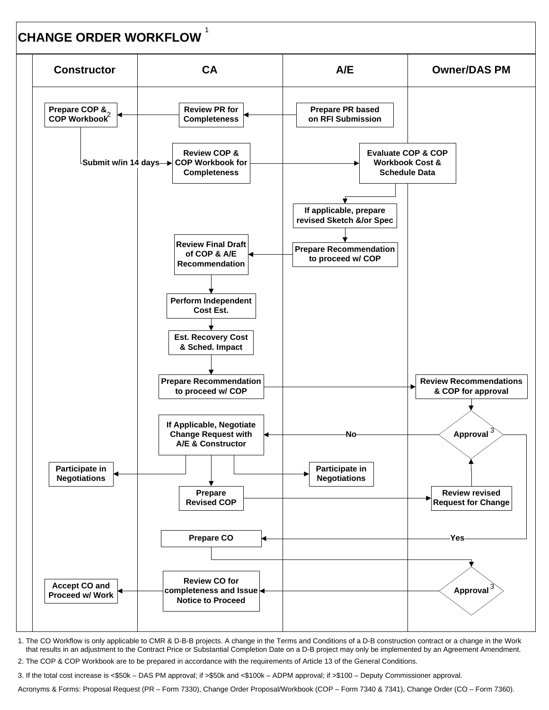

1. The CO Workflow is only applicable to CMR & D-B-B projects. A change in the Terms and Conditions of a D-B construction contract or a change in the Work that results in an adjustment to the Contract Price or Substantial Completion Date on a D-B project may only be implemented by an Agreement Amendment.

2. The COP & COP Workbook are to be prepared in accordance with the requirements of Article 13 of the General Conditions.

3. If the total cost increase is <\$50k – DAS PM approval; if >\$50k and <\$100k – ADPM approval; if >\$100 – Deputy Commissioner approval.

Acronyms & Forms: Proposal Request (PR – Form 7330), Change Order Proposal/Workbook (COP – Form 7340 & 7341), Change Order (CO – Form 7360).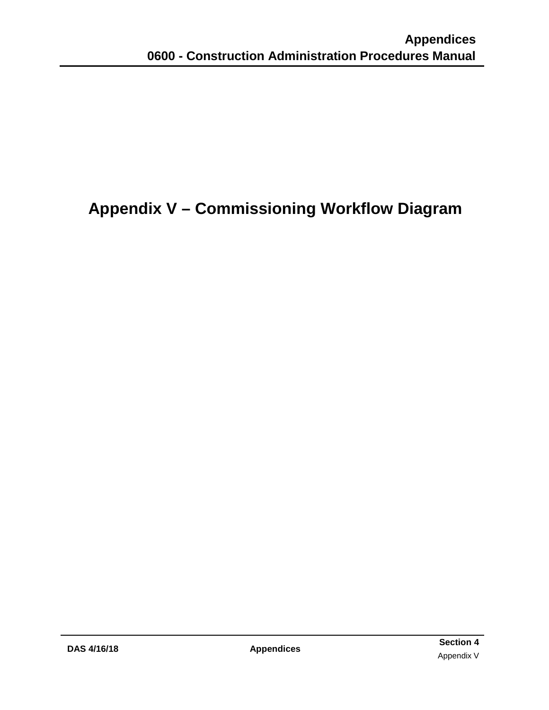# <span id="page-60-0"></span>**Appendix V – Commissioning Workflow Diagram**